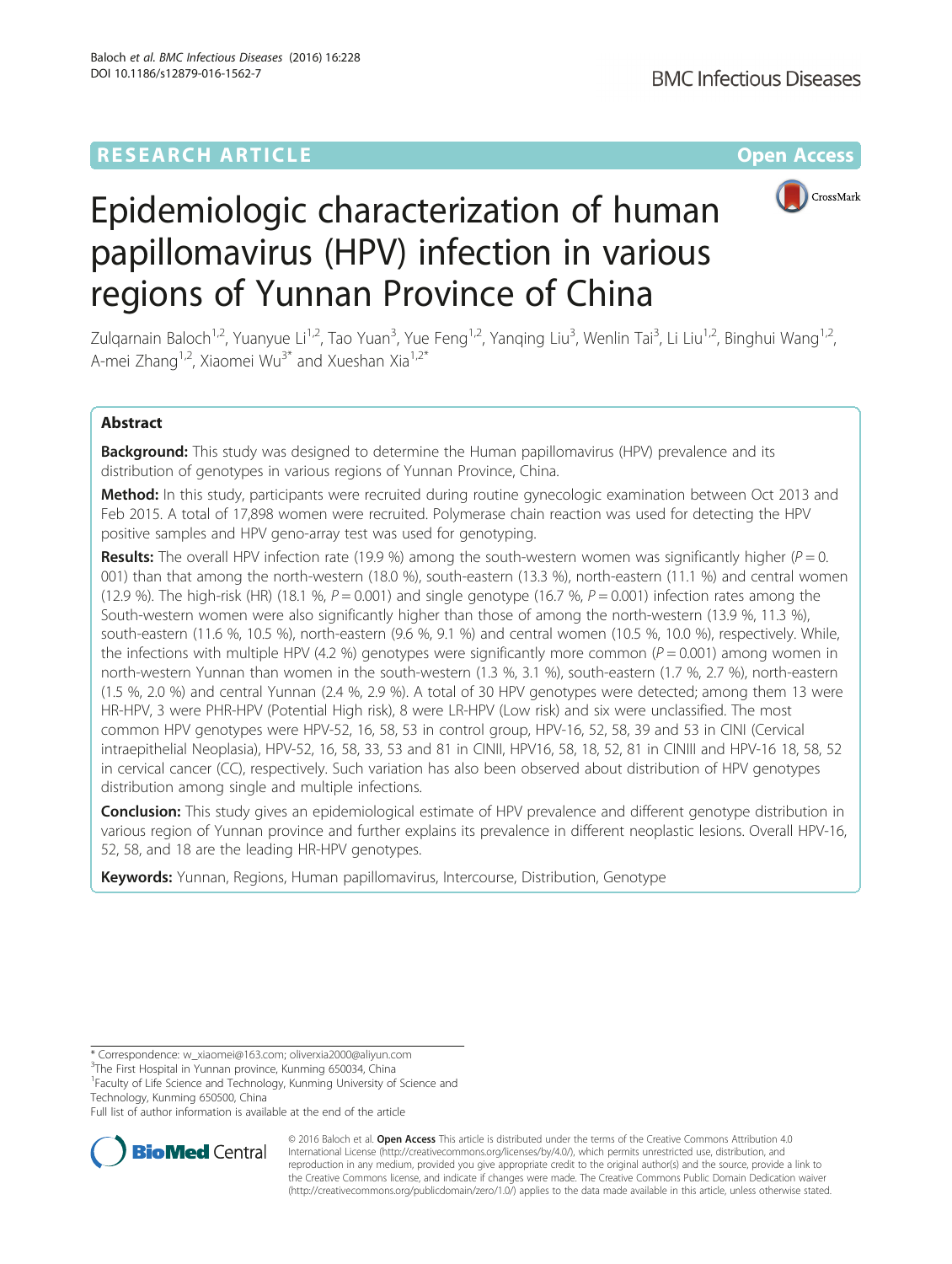

# Epidemiologic characterization of human papillomavirus (HPV) infection in various regions of Yunnan Province of China

Zulqarnain Baloch<sup>1,2</sup>, Yuanyue Li<sup>1,2</sup>, Tao Yuan<sup>3</sup>, Yue Feng<sup>1,2</sup>, Yanqing Liu<sup>3</sup>, Wenlin Tai<sup>3</sup>, Li Liu<sup>1,2</sup>, Binghui Wang<sup>1,2</sup>, A-mei Zhang<sup>1,2</sup>, Xiaomei Wu<sup>3\*</sup> and Xueshan Xia<sup>1,2\*</sup>

## Abstract

Background: This study was designed to determine the Human papillomavirus (HPV) prevalence and its distribution of genotypes in various regions of Yunnan Province, China.

Method: In this study, participants were recruited during routine gynecologic examination between Oct 2013 and Feb 2015. A total of 17,898 women were recruited. Polymerase chain reaction was used for detecting the HPV positive samples and HPV geno-array test was used for genotyping.

Results: The overall HPV infection rate (19.9 %) among the south-western women was significantly higher ( $P = 0$ . 001) than that among the north-western (18.0 %), south-eastern (13.3 %), north-eastern (11.1 %) and central women (12.9 %). The high-risk (HR) (18.1 %,  $P = 0.001$ ) and single genotype (16.7 %,  $P = 0.001$ ) infection rates among the South-western women were also significantly higher than those of among the north-western (13.9 %, 11.3 %), south-eastern (11.6 %, 10.5 %), north-eastern (9.6 %, 9.1 %) and central women (10.5 %, 10.0 %), respectively. While, the infections with multiple HPV (4.2 %) genotypes were significantly more common ( $P = 0.001$ ) among women in north-western Yunnan than women in the south-western (1.3 %, 3.1 %), south-eastern (1.7 %, 2.7 %), north-eastern (1.5 %, 2.0 %) and central Yunnan (2.4 %, 2.9 %). A total of 30 HPV genotypes were detected; among them 13 were HR-HPV, 3 were PHR-HPV (Potential High risk), 8 were LR-HPV (Low risk) and six were unclassified. The most common HPV genotypes were HPV-52, 16, 58, 53 in control group, HPV-16, 52, 58, 39 and 53 in CINI (Cervical intraepithelial Neoplasia), HPV-52, 16, 58, 33, 53 and 81 in CINII, HPV16, 58, 18, 52, 81 in CINIII and HPV-16 18, 58, 52 in cervical cancer (CC), respectively. Such variation has also been observed about distribution of HPV genotypes distribution among single and multiple infections.

**Conclusion:** This study gives an epidemiological estimate of HPV prevalence and different genotype distribution in various region of Yunnan province and further explains its prevalence in different neoplastic lesions. Overall HPV-16, 52, 58, and 18 are the leading HR-HPV genotypes.

Keywords: Yunnan, Regions, Human papillomavirus, Intercourse, Distribution, Genotype

<sup>1</sup> Faculty of Life Science and Technology, Kunming University of Science and Technology, Kunming 650500, China

Full list of author information is available at the end of the article



© 2016 Baloch et al. Open Access This article is distributed under the terms of the Creative Commons Attribution 4.0 International License [\(http://creativecommons.org/licenses/by/4.0/](http://creativecommons.org/licenses/by/4.0/)), which permits unrestricted use, distribution, and reproduction in any medium, provided you give appropriate credit to the original author(s) and the source, provide a link to the Creative Commons license, and indicate if changes were made. The Creative Commons Public Domain Dedication waiver [\(http://creativecommons.org/publicdomain/zero/1.0/](http://creativecommons.org/publicdomain/zero/1.0/)) applies to the data made available in this article, unless otherwise stated.

<sup>\*</sup> Correspondence: [w\\_xiaomei@163.com;](mailto:w_xiaomei@163.com) [oliverxia2000@aliyun.com](mailto:oliverxia2000@aliyun.com) <sup>3</sup>

<sup>&</sup>lt;sup>3</sup>The First Hospital in Yunnan province, Kunming 650034, China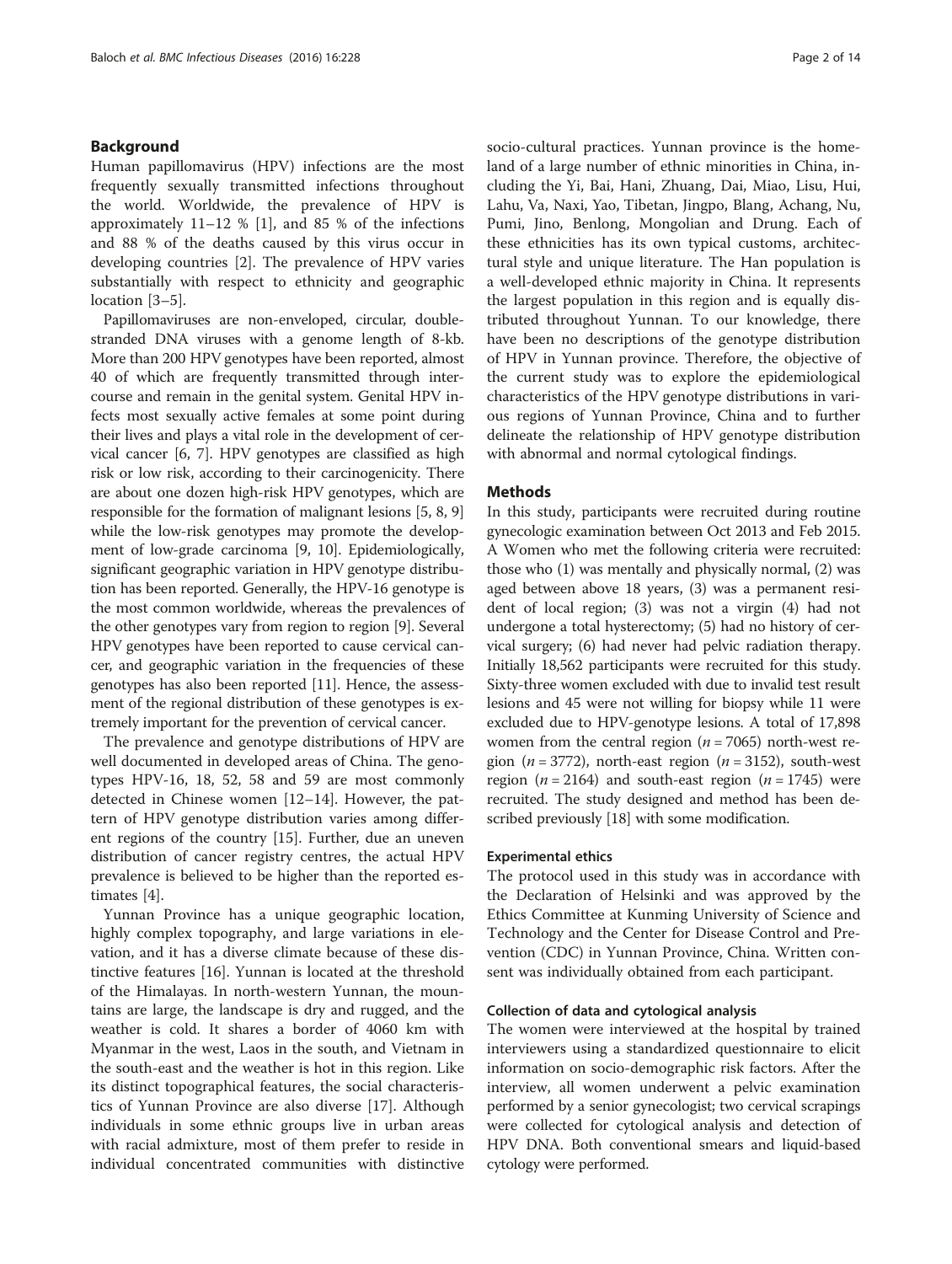## Background

Human papillomavirus (HPV) infections are the most frequently sexually transmitted infections throughout the world. Worldwide, the prevalence of HPV is approximately 11–12 % [[1\]](#page-12-0), and 85 % of the infections and 88 % of the deaths caused by this virus occur in developing countries [[2\]](#page-13-0). The prevalence of HPV varies substantially with respect to ethnicity and geographic location [[3](#page-13-0)–[5](#page-13-0)].

Papillomaviruses are non-enveloped, circular, doublestranded DNA viruses with a genome length of 8-kb. More than 200 HPV genotypes have been reported, almost 40 of which are frequently transmitted through intercourse and remain in the genital system. Genital HPV infects most sexually active females at some point during their lives and plays a vital role in the development of cervical cancer [\[6](#page-13-0), [7](#page-13-0)]. HPV genotypes are classified as high risk or low risk, according to their carcinogenicity. There are about one dozen high-risk HPV genotypes, which are responsible for the formation of malignant lesions [\[5](#page-13-0), [8, 9](#page-13-0)] while the low-risk genotypes may promote the development of low-grade carcinoma [\[9](#page-13-0), [10](#page-13-0)]. Epidemiologically, significant geographic variation in HPV genotype distribution has been reported. Generally, the HPV-16 genotype is the most common worldwide, whereas the prevalences of the other genotypes vary from region to region [\[9](#page-13-0)]. Several HPV genotypes have been reported to cause cervical cancer, and geographic variation in the frequencies of these genotypes has also been reported [\[11\]](#page-13-0). Hence, the assessment of the regional distribution of these genotypes is extremely important for the prevention of cervical cancer.

The prevalence and genotype distributions of HPV are well documented in developed areas of China. The genotypes HPV-16, 18, 52, 58 and 59 are most commonly detected in Chinese women [[12](#page-13-0)–[14](#page-13-0)]. However, the pattern of HPV genotype distribution varies among different regions of the country [[15\]](#page-13-0). Further, due an uneven distribution of cancer registry centres, the actual HPV prevalence is believed to be higher than the reported estimates [\[4](#page-13-0)].

Yunnan Province has a unique geographic location, highly complex topography, and large variations in elevation, and it has a diverse climate because of these distinctive features [[16\]](#page-13-0). Yunnan is located at the threshold of the Himalayas. In north-western Yunnan, the mountains are large, the landscape is dry and rugged, and the weather is cold. It shares a border of 4060 km with Myanmar in the west, Laos in the south, and Vietnam in the south-east and the weather is hot in this region. Like its distinct topographical features, the social characteristics of Yunnan Province are also diverse [\[17\]](#page-13-0). Although individuals in some ethnic groups live in urban areas with racial admixture, most of them prefer to reside in individual concentrated communities with distinctive socio-cultural practices. Yunnan province is the homeland of a large number of ethnic minorities in China, including the Yi, Bai, Hani, Zhuang, Dai, Miao, Lisu, Hui, Lahu, Va, Naxi, Yao, Tibetan, Jingpo, Blang, Achang, Nu, Pumi, Jino, Benlong, Mongolian and Drung. Each of these ethnicities has its own typical customs, architectural style and unique literature. The Han population is a well-developed ethnic majority in China. It represents the largest population in this region and is equally distributed throughout Yunnan. To our knowledge, there have been no descriptions of the genotype distribution of HPV in Yunnan province. Therefore, the objective of the current study was to explore the epidemiological characteristics of the HPV genotype distributions in various regions of Yunnan Province, China and to further delineate the relationship of HPV genotype distribution with abnormal and normal cytological findings.

### Methods

In this study, participants were recruited during routine gynecologic examination between Oct 2013 and Feb 2015. A Women who met the following criteria were recruited: those who (1) was mentally and physically normal, (2) was aged between above 18 years, (3) was a permanent resident of local region; (3) was not a virgin (4) had not undergone a total hysterectomy; (5) had no history of cervical surgery; (6) had never had pelvic radiation therapy. Initially 18,562 participants were recruited for this study. Sixty-three women excluded with due to invalid test result lesions and 45 were not willing for biopsy while 11 were excluded due to HPV-genotype lesions. A total of 17,898 women from the central region ( $n = 7065$ ) north-west region ( $n = 3772$ ), north-east region ( $n = 3152$ ), south-west region ( $n = 2164$ ) and south-east region ( $n = 1745$ ) were recruited. The study designed and method has been described previously [\[18\]](#page-13-0) with some modification.

## Experimental ethics

The protocol used in this study was in accordance with the Declaration of Helsinki and was approved by the Ethics Committee at Kunming University of Science and Technology and the Center for Disease Control and Prevention (CDC) in Yunnan Province, China. Written consent was individually obtained from each participant.

## Collection of data and cytological analysis

The women were interviewed at the hospital by trained interviewers using a standardized questionnaire to elicit information on socio-demographic risk factors. After the interview, all women underwent a pelvic examination performed by a senior gynecologist; two cervical scrapings were collected for cytological analysis and detection of HPV DNA. Both conventional smears and liquid-based cytology were performed.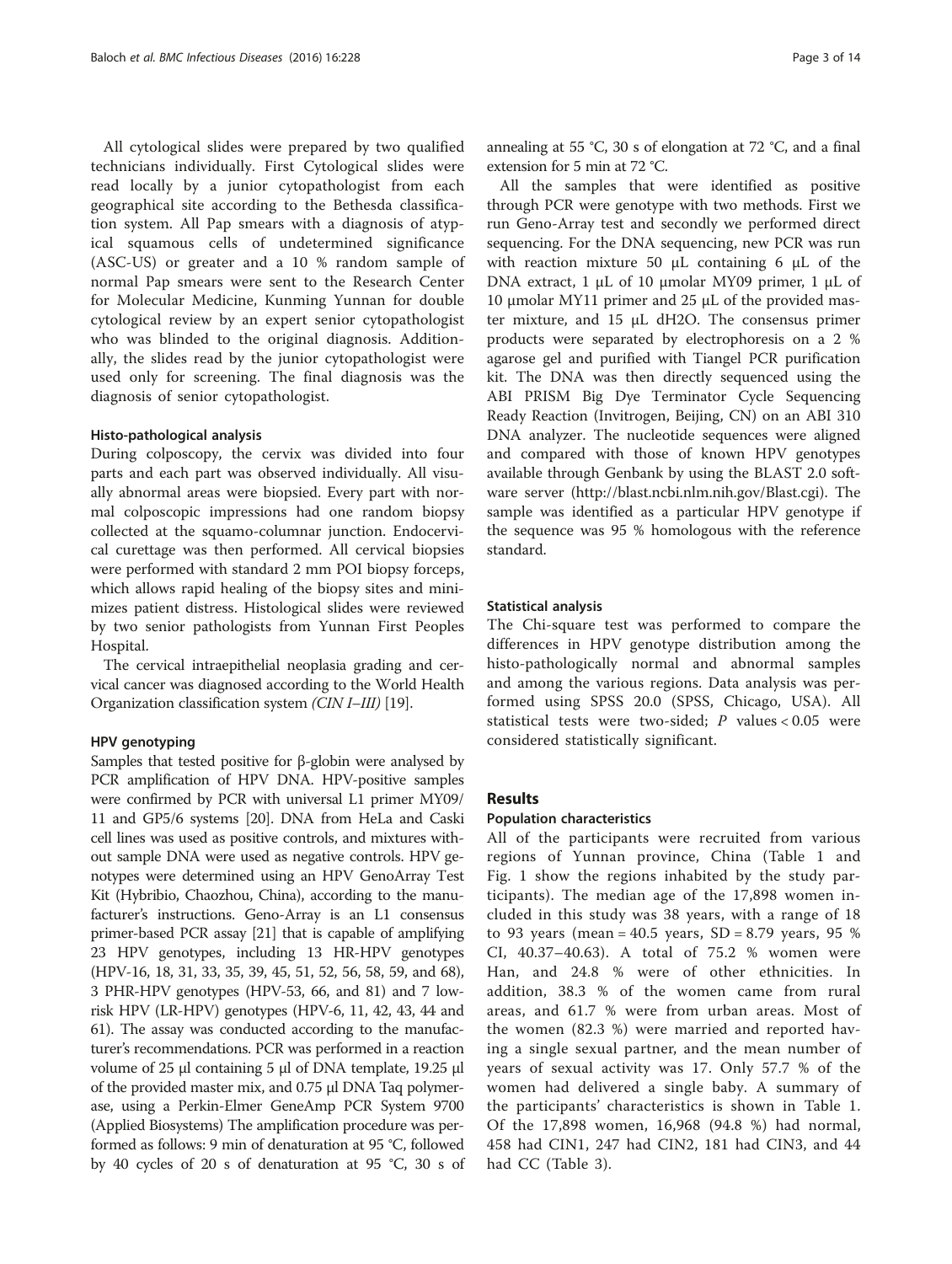All cytological slides were prepared by two qualified technicians individually. First Cytological slides were read locally by a junior cytopathologist from each geographical site according to the Bethesda classification system. All Pap smears with a diagnosis of atypical squamous cells of undetermined significance (ASC-US) or greater and a 10 % random sample of normal Pap smears were sent to the Research Center for Molecular Medicine, Kunming Yunnan for double cytological review by an expert senior cytopathologist who was blinded to the original diagnosis. Additionally, the slides read by the junior cytopathologist were used only for screening. The final diagnosis was the diagnosis of senior cytopathologist.

## Histo-pathological analysis

During colposcopy, the cervix was divided into four parts and each part was observed individually. All visually abnormal areas were biopsied. Every part with normal colposcopic impressions had one random biopsy collected at the squamo-columnar junction. Endocervical curettage was then performed. All cervical biopsies were performed with standard 2 mm POI biopsy forceps, which allows rapid healing of the biopsy sites and minimizes patient distress. Histological slides were reviewed by two senior pathologists from Yunnan First Peoples Hospital.

The cervical intraepithelial neoplasia grading and cervical cancer was diagnosed according to the World Health Organization classification system (CIN I–III) [[19](#page-13-0)].

## HPV genotyping

Samples that tested positive for β-globin were analysed by PCR amplification of HPV DNA. HPV-positive samples were confirmed by PCR with universal L1 primer MY09/ 11 and GP5/6 systems [[20](#page-13-0)]. DNA from HeLa and Caski cell lines was used as positive controls, and mixtures without sample DNA were used as negative controls. HPV genotypes were determined using an HPV GenoArray Test Kit (Hybribio, Chaozhou, China), according to the manufacturer's instructions. Geno-Array is an L1 consensus primer-based PCR assay [\[21](#page-13-0)] that is capable of amplifying 23 HPV genotypes, including 13 HR-HPV genotypes (HPV-16, 18, 31, 33, 35, 39, 45, 51, 52, 56, 58, 59, and 68), 3 PHR-HPV genotypes (HPV-53, 66, and 81) and 7 lowrisk HPV (LR-HPV) genotypes (HPV-6, 11, 42, 43, 44 and 61). The assay was conducted according to the manufacturer's recommendations. PCR was performed in a reaction volume of 25 μl containing 5 μl of DNA template, 19.25 μl of the provided master mix, and 0.75 μl DNA Taq polymerase, using a Perkin-Elmer GeneAmp PCR System 9700 (Applied Biosystems) The amplification procedure was performed as follows: 9 min of denaturation at 95 °C, followed by 40 cycles of 20 s of denaturation at 95 °C, 30 s of annealing at 55 °C, 30 s of elongation at 72 °C, and a final extension for 5 min at 72 °C.

All the samples that were identified as positive through PCR were genotype with two methods. First we run Geno-Array test and secondly we performed direct sequencing. For the DNA sequencing, new PCR was run with reaction mixture 50 μL containing 6 μL of the DNA extract, 1 μL of 10 μmolar MY09 primer, 1 μL of 10 μmolar MY11 primer and 25 μL of the provided master mixture, and 15 μL dH2O. The consensus primer products were separated by electrophoresis on a 2 % agarose gel and purified with Tiangel PCR purification kit. The DNA was then directly sequenced using the ABI PRISM Big Dye Terminator Cycle Sequencing Ready Reaction (Invitrogen, Beijing, CN) on an ABI 310 DNA analyzer. The nucleotide sequences were aligned and compared with those of known HPV genotypes available through Genbank by using the BLAST 2.0 software server [\(http://blast.ncbi.nlm.nih.gov/Blast.cgi\)](http://blast.ncbi.nlm.nih.gov/Blast.cgi). The sample was identified as a particular HPV genotype if the sequence was 95 % homologous with the reference standard.

## Statistical analysis

The Chi-square test was performed to compare the differences in HPV genotype distribution among the histo-pathologically normal and abnormal samples and among the various regions. Data analysis was performed using SPSS 20.0 (SPSS, Chicago, USA). All statistical tests were two-sided;  $P$  values < 0.05 were considered statistically significant.

## Results

## Population characteristics

All of the participants were recruited from various regions of Yunnan province, China (Table [1](#page-3-0) and Fig. [1](#page-4-0) show the regions inhabited by the study participants). The median age of the 17,898 women included in this study was 38 years, with a range of 18 to 93 years (mean =  $40.5$  years, SD = 8.79 years, 95 % CI, 40.37–40.63). A total of 75.2 % women were Han, and 24.8 % were of other ethnicities. In addition, 38.3 % of the women came from rural areas, and 61.7 % were from urban areas. Most of the women (82.3 %) were married and reported having a single sexual partner, and the mean number of years of sexual activity was 17. Only 57.7 % of the women had delivered a single baby. A summary of the participants' characteristics is shown in Table [1](#page-3-0). Of the 17,898 women, 16,968 (94.8 %) had normal, 458 had CIN1, 247 had CIN2, 181 had CIN3, and 44 had CC (Table [3](#page-7-0)).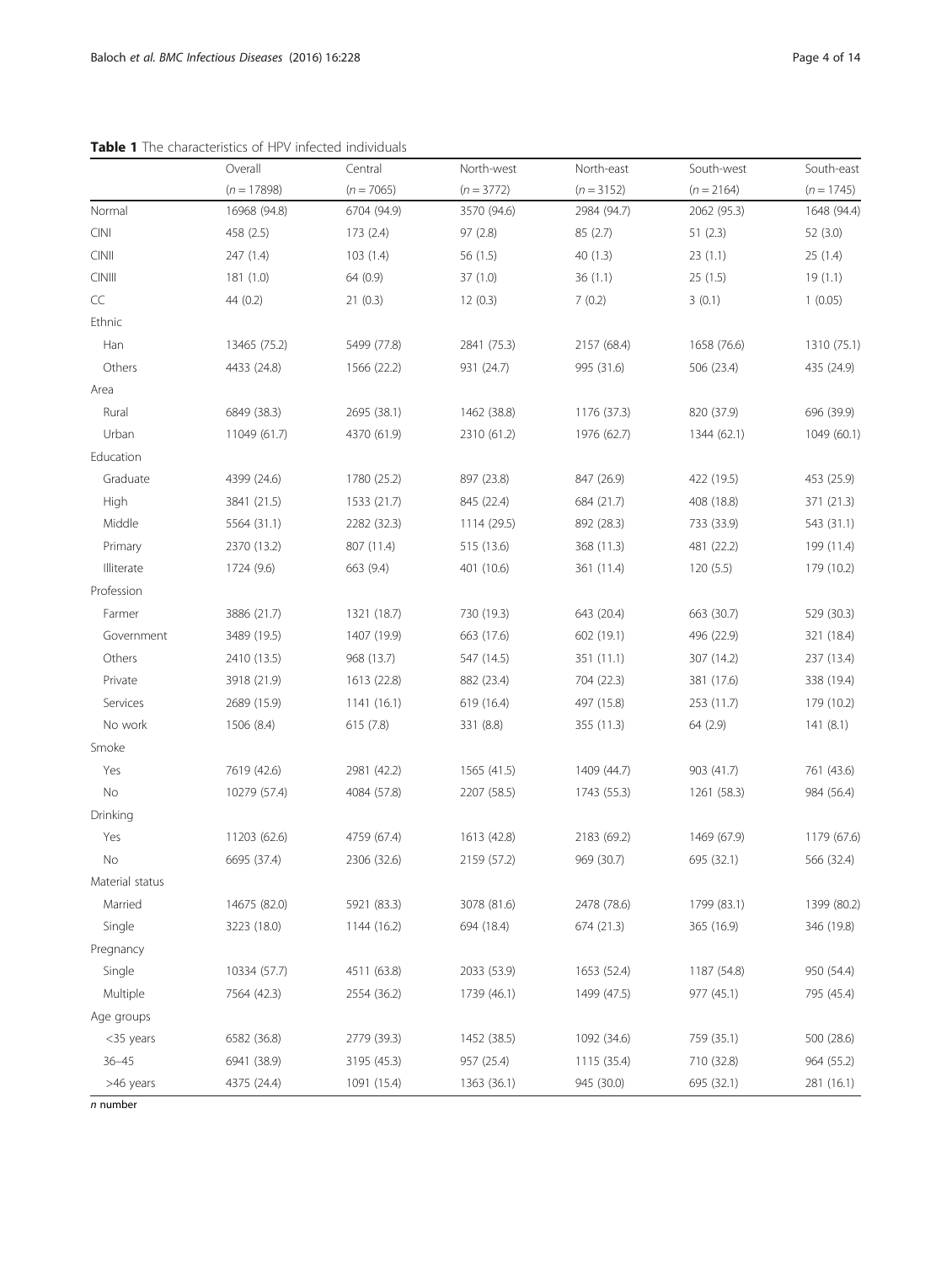|                 | Overall       | Central      | North-west   | North-east   | South-west   | South-east   |
|-----------------|---------------|--------------|--------------|--------------|--------------|--------------|
|                 | $(n = 17898)$ | $(n = 7065)$ | $(n = 3772)$ | $(n = 3152)$ | $(n = 2164)$ | $(n = 1745)$ |
| Normal          | 16968 (94.8)  | 6704 (94.9)  | 3570 (94.6)  | 2984 (94.7)  | 2062 (95.3)  | 1648 (94.4)  |
| <b>CINI</b>     | 458 (2.5)     | 173 (2.4)    | 97 (2.8)     | 85(2.7)      | 51(2.3)      | 52 (3.0)     |
| $C\text{INII}$  | 247 (1.4)     | 103(1.4)     | 56 (1.5)     | 40(1.3)      | 23(1.1)      | 25(1.4)      |
| CINIII          | 181(1.0)      | 64 (0.9)     | 37(1.0)      | 36(1.1)      | 25(1.5)      | 19(1.1)      |
| CC              | 44 (0.2)      | 21(0.3)      | 12(0.3)      | 7(0.2)       | 3(0.1)       | 1(0.05)      |
| Ethnic          |               |              |              |              |              |              |
| Han             | 13465 (75.2)  | 5499 (77.8)  | 2841 (75.3)  | 2157 (68.4)  | 1658 (76.6)  | 1310 (75.1)  |
| Others          | 4433 (24.8)   | 1566 (22.2)  | 931 (24.7)   | 995 (31.6)   | 506 (23.4)   | 435 (24.9)   |
| Area            |               |              |              |              |              |              |
| Rural           | 6849 (38.3)   | 2695 (38.1)  | 1462 (38.8)  | 1176 (37.3)  | 820 (37.9)   | 696 (39.9)   |
| Urban           | 11049 (61.7)  | 4370 (61.9)  | 2310 (61.2)  | 1976 (62.7)  | 1344 (62.1)  | 1049 (60.1)  |
| Education       |               |              |              |              |              |              |
| Graduate        | 4399 (24.6)   | 1780 (25.2)  | 897 (23.8)   | 847 (26.9)   | 422 (19.5)   | 453 (25.9)   |
| High            | 3841 (21.5)   | 1533 (21.7)  | 845 (22.4)   | 684 (21.7)   | 408 (18.8)   | 371 (21.3)   |
| Middle          | 5564 (31.1)   | 2282 (32.3)  | 1114 (29.5)  | 892 (28.3)   | 733 (33.9)   | 543 (31.1)   |
| Primary         | 2370 (13.2)   | 807 (11.4)   | 515 (13.6)   | 368 (11.3)   | 481 (22.2)   | 199 (11.4)   |
| Illiterate      | 1724 (9.6)    | 663 (9.4)    | 401 (10.6)   | 361 (11.4)   | 120(5.5)     | 179 (10.2)   |
| Profession      |               |              |              |              |              |              |
| Farmer          | 3886 (21.7)   | 1321 (18.7)  | 730 (19.3)   | 643 (20.4)   | 663 (30.7)   | 529 (30.3)   |
| Government      | 3489 (19.5)   | 1407 (19.9)  | 663 (17.6)   | 602 (19.1)   | 496 (22.9)   | 321 (18.4)   |
| Others          | 2410 (13.5)   | 968 (13.7)   | 547 (14.5)   | 351 (11.1)   | 307 (14.2)   | 237 (13.4)   |
| Private         | 3918 (21.9)   | 1613 (22.8)  | 882 (23.4)   | 704 (22.3)   | 381 (17.6)   | 338 (19.4)   |
| Services        | 2689 (15.9)   | 1141(16.1)   | 619 (16.4)   | 497 (15.8)   | 253 (11.7)   | 179 (10.2)   |
| No work         | 1506 (8.4)    | 615 (7.8)    | 331 (8.8)    | 355 (11.3)   | 64 (2.9)     | 141(8.1)     |
| Smoke           |               |              |              |              |              |              |
| Yes             | 7619 (42.6)   | 2981 (42.2)  | 1565 (41.5)  | 1409 (44.7)  | 903 (41.7)   | 761 (43.6)   |
| No              | 10279 (57.4)  | 4084 (57.8)  | 2207 (58.5)  | 1743 (55.3)  | 1261 (58.3)  | 984 (56.4)   |
| Drinking        |               |              |              |              |              |              |
| Yes             | 11203 (62.6)  | 4759 (67.4)  | 1613 (42.8)  | 2183 (69.2)  | 1469 (67.9)  | 1179 (67.6)  |
| No              | 6695 (37.4)   | 2306 (32.6)  | 2159 (57.2)  | 969 (30.7)   | 695 (32.1)   | 566 (32.4)   |
| Material status |               |              |              |              |              |              |
| Married         | 14675 (82.0)  | 5921 (83.3)  | 3078 (81.6)  | 2478 (78.6)  | 1799 (83.1)  | 1399 (80.2)  |
| Single          | 3223 (18.0)   | 1144 (16.2)  | 694 (18.4)   | 674 (21.3)   | 365 (16.9)   | 346 (19.8)   |
| Pregnancy       |               |              |              |              |              |              |
| Single          | 10334 (57.7)  | 4511 (63.8)  | 2033 (53.9)  | 1653 (52.4)  | 1187 (54.8)  | 950 (54.4)   |
| Multiple        | 7564 (42.3)   | 2554 (36.2)  | 1739 (46.1)  | 1499 (47.5)  | 977 (45.1)   | 795 (45.4)   |
| Age groups      |               |              |              |              |              |              |
| <35 years       | 6582 (36.8)   | 2779 (39.3)  | 1452 (38.5)  | 1092 (34.6)  | 759 (35.1)   | 500 (28.6)   |
| $36 - 45$       | 6941 (38.9)   | 3195 (45.3)  | 957 (25.4)   | 1115 (35.4)  | 710 (32.8)   | 964 (55.2)   |
| >46 years       | 4375 (24.4)   | 1091 (15.4)  | 1363 (36.1)  | 945 (30.0)   | 695 (32.1)   | 281 (16.1)   |

<span id="page-3-0"></span>Table 1 The characteristics of HPV infected individuals

n number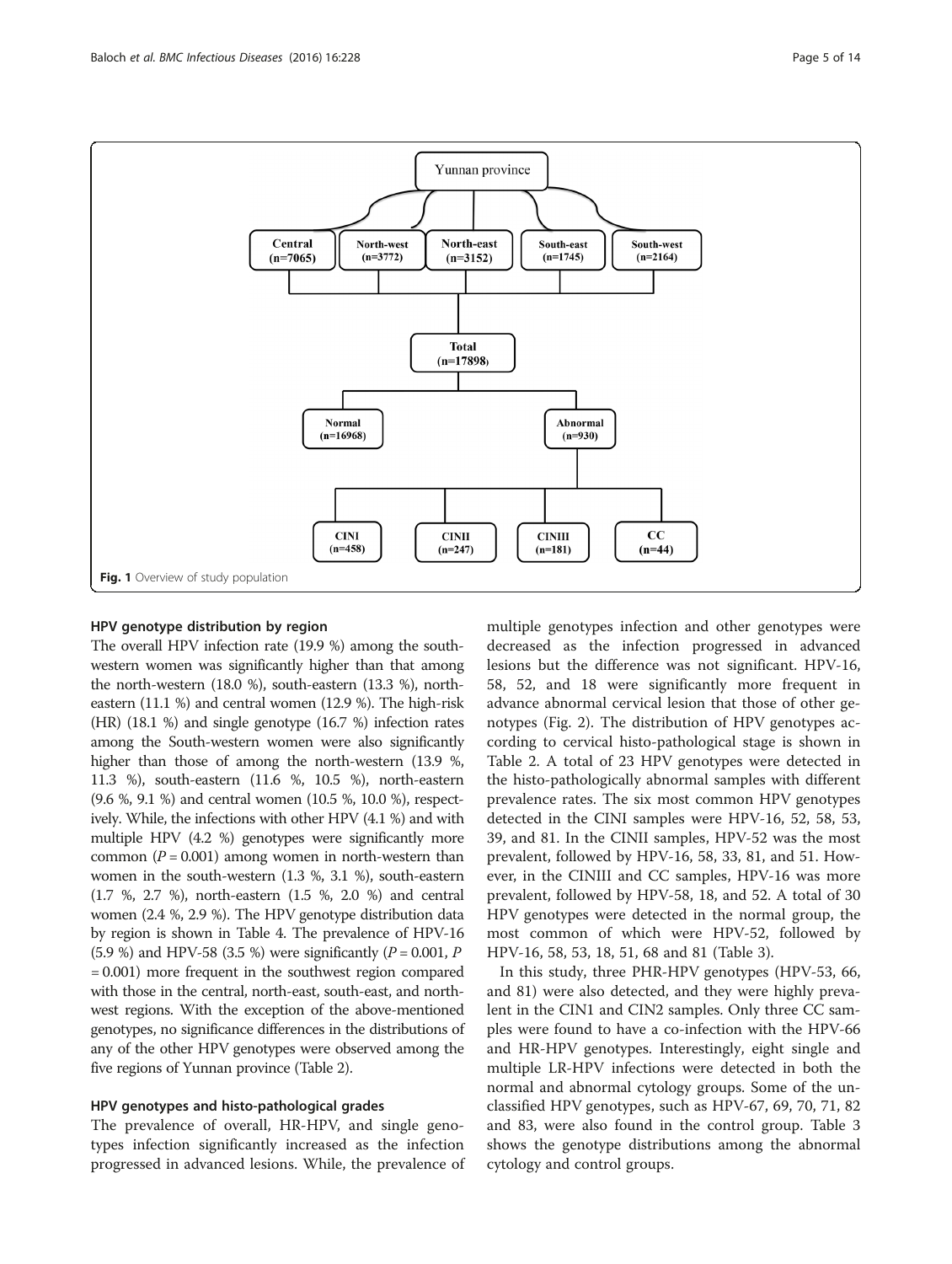<span id="page-4-0"></span>

#### HPV genotype distribution by region

The overall HPV infection rate (19.9 %) among the southwestern women was significantly higher than that among the north-western (18.0 %), south-eastern (13.3 %), northeastern (11.1 %) and central women (12.9 %). The high-risk (HR) (18.1 %) and single genotype (16.7 %) infection rates among the South-western women were also significantly higher than those of among the north-western (13.9 %, 11.3 %), south-eastern (11.6 %, 10.5 %), north-eastern (9.6 %, 9.1 %) and central women (10.5 %, 10.0 %), respectively. While, the infections with other HPV (4.1 %) and with multiple HPV (4.2 %) genotypes were significantly more common ( $P = 0.001$ ) among women in north-western than women in the south-western (1.3 %, 3.1 %), south-eastern (1.7 %, 2.7 %), north-eastern (1.5 %, 2.0 %) and central women (2.4 %, 2.9 %). The HPV genotype distribution data by region is shown in Table [4](#page-8-0). The prevalence of HPV-16 (5.9 %) and HPV-58 (3.5 %) were significantly ( $P = 0.001$ ,  $P$ = 0.001) more frequent in the southwest region compared with those in the central, north-east, south-east, and northwest regions. With the exception of the above-mentioned genotypes, no significance differences in the distributions of any of the other HPV genotypes were observed among the five regions of Yunnan province (Table [2\)](#page-5-0).

### HPV genotypes and histo-pathological grades

The prevalence of overall, HR-HPV, and single genotypes infection significantly increased as the infection progressed in advanced lesions. While, the prevalence of

multiple genotypes infection and other genotypes were decreased as the infection progressed in advanced lesions but the difference was not significant. HPV-16, 58, 52, and 18 were significantly more frequent in advance abnormal cervical lesion that those of other genotypes (Fig. [2](#page-6-0)). The distribution of HPV genotypes according to cervical histo-pathological stage is shown in Table [2.](#page-5-0) A total of 23 HPV genotypes were detected in the histo-pathologically abnormal samples with different prevalence rates. The six most common HPV genotypes detected in the CINI samples were HPV-16, 52, 58, 53, 39, and 81. In the CINII samples, HPV-52 was the most prevalent, followed by HPV-16, 58, 33, 81, and 51. However, in the CINIII and CC samples, HPV-16 was more prevalent, followed by HPV-58, 18, and 52. A total of 30 HPV genotypes were detected in the normal group, the most common of which were HPV-52, followed by HPV-16, 58, 53, 18, 51, 68 and 81 (Table [3](#page-7-0)).

In this study, three PHR-HPV genotypes (HPV-53, 66, and 81) were also detected, and they were highly prevalent in the CIN1 and CIN2 samples. Only three CC samples were found to have a co-infection with the HPV-66 and HR-HPV genotypes. Interestingly, eight single and multiple LR-HPV infections were detected in both the normal and abnormal cytology groups. Some of the unclassified HPV genotypes, such as HPV-67, 69, 70, 71, 82 and 83, were also found in the control group. Table [3](#page-7-0) shows the genotype distributions among the abnormal cytology and control groups.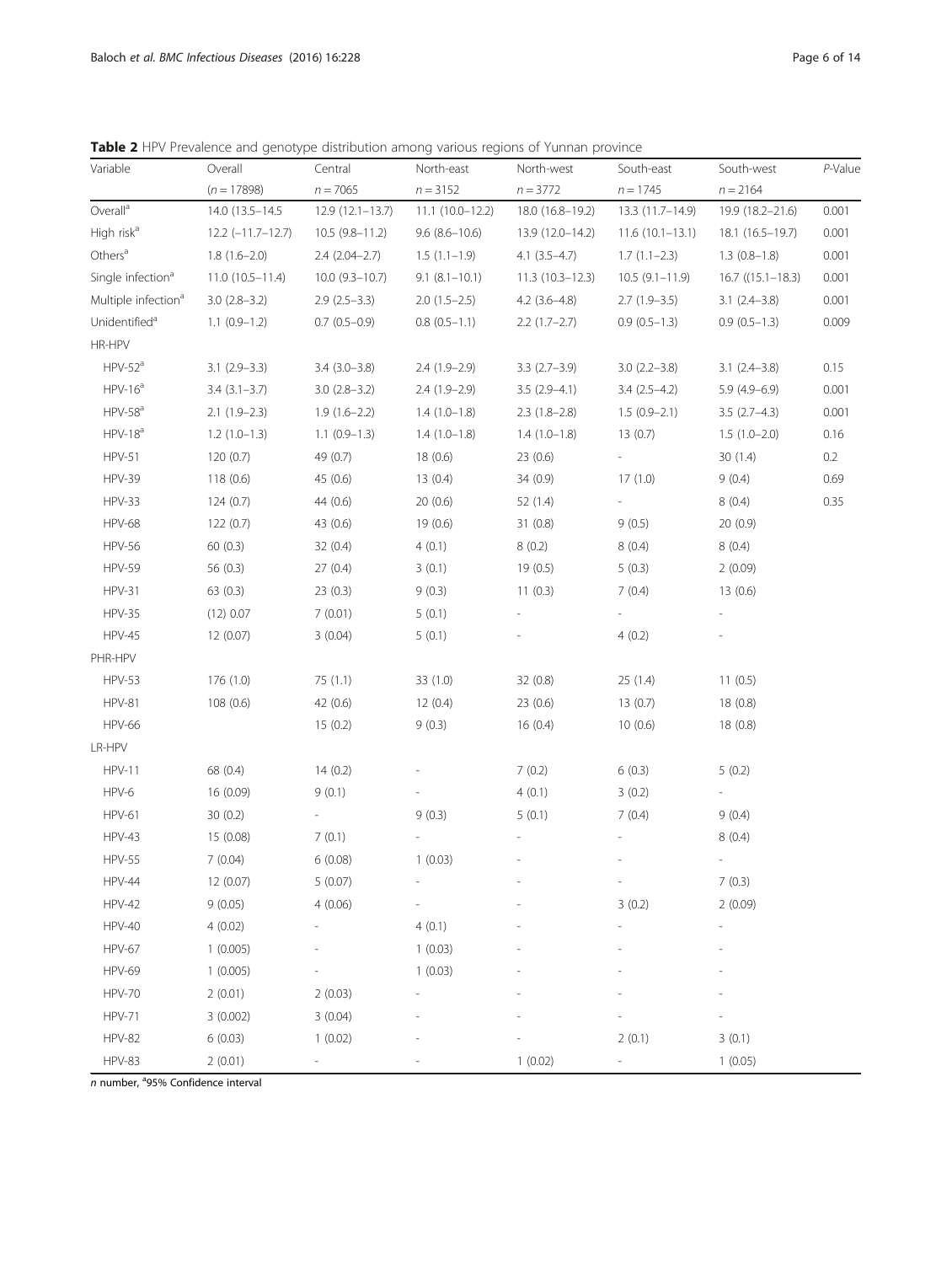<span id="page-5-0"></span>Table 2 HPV Prevalence and genotype distribution among various regions of Yunnan province

| Variable                        | Overall             | Central             | North-east        | North-west        | South-east               | South-west               | P-Value |
|---------------------------------|---------------------|---------------------|-------------------|-------------------|--------------------------|--------------------------|---------|
|                                 | $(n = 17898)$       | $n = 7065$          | $n = 3152$        | $n = 3772$        | $n = 1745$               | $n = 2164$               |         |
| Overall <sup>a</sup>            | 14.0 (13.5-14.5)    | $12.9(12.1 - 13.7)$ | 11.1 (10.0-12.2)  | 18.0 (16.8-19.2)  | 13.3 (11.7-14.9)         | 19.9 (18.2-21.6)         | 0.001   |
| High risk <sup>a</sup>          | $12.2$ (-11.7-12.7) | $10.5(9.8-11.2)$    | $9.6(8.6 - 10.6)$ | 13.9 (12.0-14.2)  | $11.6(10.1-13.1)$        | 18.1 (16.5-19.7)         | 0.001   |
| Others <sup>a</sup>             | $1.8(1.6-2.0)$      | $2.4(2.04-2.7)$     | $1.5(1.1-1.9)$    | $4.1(3.5-4.7)$    | $1.7(1.1-2.3)$           | $1.3(0.8-1.8)$           | 0.001   |
| Single infection <sup>a</sup>   | $11.0(10.5-11.4)$   | $10.0$ (9.3-10.7)   | $9.1(8.1-10.1)$   | $11.3(10.3-12.3)$ | $10.5(9.1-11.9)$         | $16.7$ ((15.1–18.3)      | 0.001   |
| Multiple infection <sup>a</sup> | $3.0(2.8-3.2)$      | $2.9(2.5-3.3)$      | $2.0(1.5-2.5)$    | $4.2$ (3.6–4.8)   | $2.7(1.9-3.5)$           | $3.1(2.4-3.8)$           | 0.001   |
| Unidentified <sup>a</sup>       | $1.1(0.9-1.2)$      | $0.7(0.5-0.9)$      | $0.8(0.5-1.1)$    | $2.2(1.7-2.7)$    | $0.9(0.5-1.3)$           | $0.9(0.5-1.3)$           | 0.009   |
| HR-HPV                          |                     |                     |                   |                   |                          |                          |         |
| $HPV-52a$                       | $3.1(2.9-3.3)$      | $3.4(3.0-3.8)$      | $2.4(1.9-2.9)$    | $3.3(2.7-3.9)$    | $3.0(2.2 - 3.8)$         | $3.1(2.4-3.8)$           | 0.15    |
| $HPV-16a$                       | $3.4(3.1-3.7)$      | $3.0(2.8-3.2)$      | $2.4(1.9-2.9)$    | $3.5(2.9-4.1)$    | $3.4(2.5-4.2)$           | $5.9(4.9-6.9)$           | 0.001   |
| $HPV-58a$                       | $2.1(1.9-2.3)$      | $1.9(1.6-2.2)$      | $1.4(1.0-1.8)$    | $2.3(1.8-2.8)$    | $1.5(0.9-2.1)$           | $3.5(2.7-4.3)$           | 0.001   |
| $HPV-18a$                       | $1.2(1.0-1.3)$      | $1.1(0.9-1.3)$      | $1.4(1.0-1.8)$    | $1.4(1.0-1.8)$    | 13(0.7)                  | $1.5(1.0-2.0)$           | 0.16    |
| <b>HPV-51</b>                   | 120 (0.7)           | 49 (0.7)            | 18(0.6)           | 23 (0.6)          | $\overline{\phantom{a}}$ | 30(1.4)                  | 0.2     |
| <b>HPV-39</b>                   | 118(0.6)            | 45 (0.6)            | 13(0.4)           | 34 (0.9)          | 17(1.0)                  | 9(0.4)                   | 0.69    |
| <b>HPV-33</b>                   | 124(0.7)            | 44 (0.6)            | 20(0.6)           | 52 (1.4)          |                          | 8(0.4)                   | 0.35    |
| <b>HPV-68</b>                   | 122(0.7)            | 43 (0.6)            | 19(0.6)           | 31(0.8)           | 9(0.5)                   | 20(0.9)                  |         |
| <b>HPV-56</b>                   | 60(0.3)             | 32(0.4)             | 4(0.1)            | 8(0.2)            | 8(0.4)                   | 8(0.4)                   |         |
| <b>HPV-59</b>                   | 56 $(0.3)$          | 27(0.4)             | 3(0.1)            | 19(0.5)           | 5(0.3)                   | 2(0.09)                  |         |
| <b>HPV-31</b>                   | 63(0.3)             | 23(0.3)             | 9(0.3)            | 11(0.3)           | 7(0.4)                   | 13(0.6)                  |         |
| <b>HPV-35</b>                   | (12) 0.07           | 7(0.01)             | 5(0.1)            |                   |                          | $\overline{a}$           |         |
| <b>HPV-45</b>                   | 12 (0.07)           | 3(0.04)             | 5(0.1)            |                   | 4(0.2)                   |                          |         |
| PHR-HPV                         |                     |                     |                   |                   |                          |                          |         |
| <b>HPV-53</b>                   | 176 (1.0)           | 75(1.1)             | 33(1.0)           | 32 (0.8)          | 25(1.4)                  | 11(0.5)                  |         |
| <b>HPV-81</b>                   | 108(0.6)            | 42 (0.6)            | 12(0.4)           | 23(0.6)           | 13(0.7)                  | 18(0.8)                  |         |
| <b>HPV-66</b>                   |                     | 15(0.2)             | 9(0.3)            | 16(0.4)           | 10(0.6)                  | 18(0.8)                  |         |
| LR-HPV                          |                     |                     |                   |                   |                          |                          |         |
| <b>HPV-11</b>                   | 68 (0.4)            | 14(0.2)             |                   | 7(0.2)            | 6(0.3)                   | 5(0.2)                   |         |
| HPV-6                           | 16 (0.09)           | 9(0.1)              |                   | 4(0.1)            | 3(0.2)                   |                          |         |
| <b>HPV-61</b>                   | 30(0.2)             |                     | 9(0.3)            | 5(0.1)            | 7(0.4)                   | 9(0.4)                   |         |
| <b>HPV-43</b>                   | 15 (0.08)           | 7(0.1)              |                   |                   |                          | 8(0.4)                   |         |
| <b>HPV-55</b>                   | 7(0.04)             | 6(0.08)             | 1(0.03)           |                   |                          | $\overline{\phantom{0}}$ |         |
| HPV-44                          | 12 (0.07)           | 5(0.07)             |                   |                   | $\overline{\phantom{m}}$ | 7(0.3)                   |         |
| <b>HPV-42</b>                   | 9(0.05)             | 4(0.06)             |                   |                   | 3(0.2)                   | 2(0.09)                  |         |
| <b>HPV-40</b>                   | 4(0.02)             |                     | 4(0.1)            |                   |                          |                          |         |
| <b>HPV-67</b>                   | 1(0.005)            |                     | 1(0.03)           |                   |                          |                          |         |
| <b>HPV-69</b>                   | 1(0.005)            |                     | 1(0.03)           |                   |                          |                          |         |
| <b>HPV-70</b>                   | 2(0.01)             | 2(0.03)             |                   |                   |                          |                          |         |
| <b>HPV-71</b>                   | 3(0.002)            | 3(0.04)             |                   |                   |                          |                          |         |
| <b>HPV-82</b>                   | 6(0.03)             | 1(0.02)             |                   |                   | 2(0.1)                   | 3(0.1)                   |         |
| <b>HPV-83</b>                   | 2(0.01)             |                     |                   | 1(0.02)           |                          | 1(0.05)                  |         |

n number, <sup>a</sup>95% Confidence interval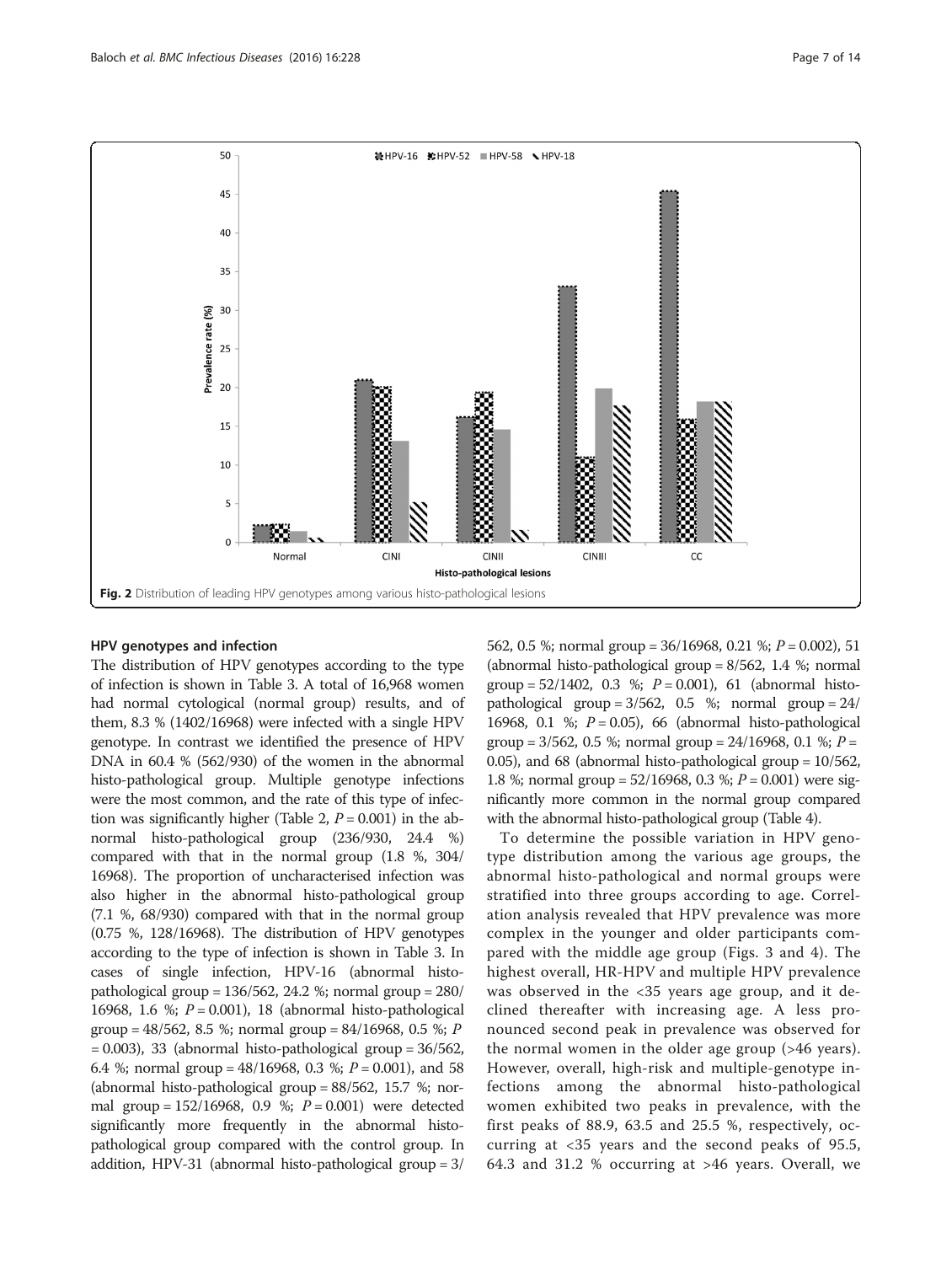<span id="page-6-0"></span>

#### HPV genotypes and infection

The distribution of HPV genotypes according to the type of infection is shown in Table [3.](#page-7-0) A total of 16,968 women had normal cytological (normal group) results, and of them, 8.3 % (1402/16968) were infected with a single HPV genotype. In contrast we identified the presence of HPV DNA in 60.4 % (562/930) of the women in the abnormal histo-pathological group. Multiple genotype infections were the most common, and the rate of this type of infec-tion was significantly higher (Table [2](#page-5-0),  $P = 0.001$ ) in the abnormal histo-pathological group (236/930, 24.4 %) compared with that in the normal group (1.8 %, 304/ 16968). The proportion of uncharacterised infection was also higher in the abnormal histo-pathological group (7.1 %, 68/930) compared with that in the normal group (0.75 %, 128/16968). The distribution of HPV genotypes according to the type of infection is shown in Table [3](#page-7-0). In cases of single infection, HPV-16 (abnormal histopathological group = 136/562, 24.2 %; normal group = 280/ 16968, 1.6 %;  $P = 0.001$ ), 18 (abnormal histo-pathological group = 48/562, 8.5 %; normal group = 84/16968, 0.5 %; P  $= 0.003$ ), 33 (abnormal histo-pathological group  $= 36/562$ , 6.4 %; normal group =  $48/16968$ , 0.3 %;  $P = 0.001$ ), and 58 (abnormal histo-pathological group = 88/562, 15.7 %; normal group =  $152/16968$ , 0.9 %;  $P = 0.001$ ) were detected significantly more frequently in the abnormal histopathological group compared with the control group. In addition, HPV-31 (abnormal histo-pathological group = 3/ 562, 0.5 %; normal group = 36/16968, 0.21 %; P = 0.002), 51 (abnormal histo-pathological group = 8/562, 1.4 %; normal group =  $52/1402$ , 0.3 %;  $P = 0.001$ ), 61 (abnormal histopathological group =  $3/562$ , 0.5 %; normal group =  $24/$ 16968, 0.1 %;  $P = 0.05$ ), 66 (abnormal histo-pathological group =  $3/562$ , 0.5 %; normal group =  $24/16968$ , 0.1 %; P = 0.05), and 68 (abnormal histo-pathological group = 10/562, 1.8 %; normal group =  $52/16968$ , 0.3 %;  $P = 0.001$ ) were significantly more common in the normal group compared with the abnormal histo-pathological group (Table [4\)](#page-8-0).

To determine the possible variation in HPV genotype distribution among the various age groups, the abnormal histo-pathological and normal groups were stratified into three groups according to age. Correlation analysis revealed that HPV prevalence was more complex in the younger and older participants compared with the middle age group (Figs. [3](#page-9-0) and [4](#page-9-0)). The highest overall, HR-HPV and multiple HPV prevalence was observed in the <35 years age group, and it declined thereafter with increasing age. A less pronounced second peak in prevalence was observed for the normal women in the older age group (>46 years). However, overall, high-risk and multiple-genotype infections among the abnormal histo-pathological women exhibited two peaks in prevalence, with the first peaks of 88.9, 63.5 and 25.5 %, respectively, occurring at <35 years and the second peaks of 95.5, 64.3 and 31.2 % occurring at >46 years. Overall, we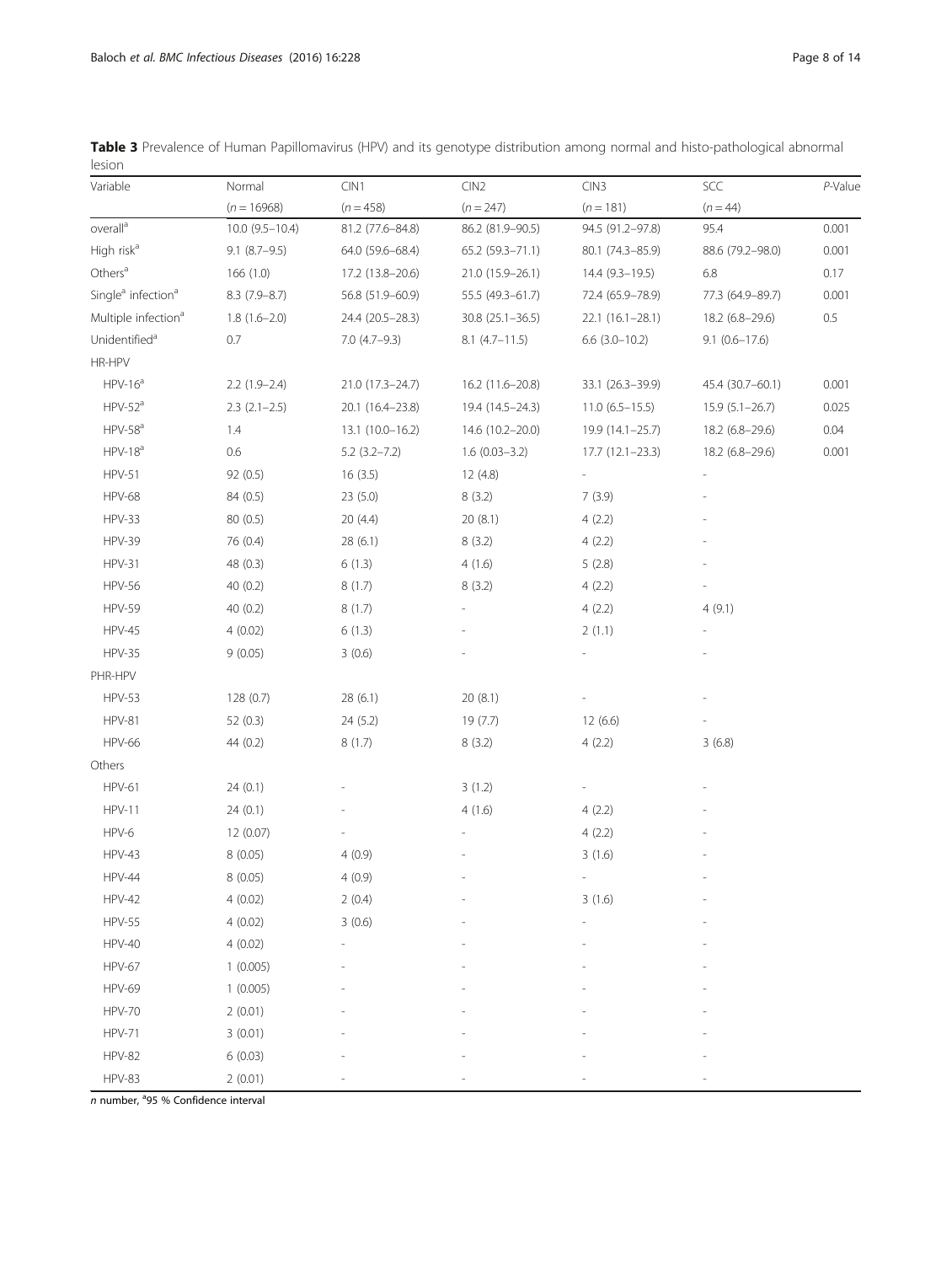<span id="page-7-0"></span>

|        | Table 3 Prevalence of Human Papillomavirus (HPV) and its genotype distribution among normal and histo-pathological abnormal |  |  |  |  |  |
|--------|-----------------------------------------------------------------------------------------------------------------------------|--|--|--|--|--|
| lesion |                                                                                                                             |  |  |  |  |  |

| Variable                                   | Normal              | CIN1             | CIN2               | CIN3                     | SCC                | $P$ -Value |
|--------------------------------------------|---------------------|------------------|--------------------|--------------------------|--------------------|------------|
|                                            | $(n = 16968)$       | $(n = 458)$      | $(n = 247)$        | $(n = 181)$              | $(n = 44)$         |            |
| overall <sup>a</sup>                       | $10.0 (9.5 - 10.4)$ | 81.2 (77.6-84.8) | 86.2 (81.9-90.5)   | 94.5 (91.2-97.8)         | 95.4               | 0.001      |
| High risk <sup>a</sup>                     | $9.1 (8.7 - 9.5)$   | 64.0 (59.6-68.4) | 65.2 (59.3-71.1)   | 80.1 (74.3-85.9)         | 88.6 (79.2-98.0)   | 0.001      |
| Others <sup>a</sup>                        | 166 (1.0)           | 17.2 (13.8-20.6) | 21.0 (15.9-26.1)   | $14.4(9.3-19.5)$         | 6.8                | 0.17       |
| Single <sup>a</sup> infection <sup>a</sup> | $8.3(7.9 - 8.7)$    | 56.8 (51.9-60.9) | 55.5 (49.3-61.7)   | 72.4 (65.9-78.9)         | 77.3 (64.9-89.7)   | 0.001      |
| Multiple infection <sup>a</sup>            | $1.8(1.6-2.0)$      | 24.4 (20.5-28.3) | $30.8$ (25.1-36.5) | 22.1 (16.1-28.1)         | 18.2 (6.8-29.6)    | 0.5        |
| Unidentified <sup>a</sup>                  | 0.7                 | $7.0(4.7-9.3)$   | $8.1$ (4.7-11.5)   | $6.6$ (3.0-10.2)         | $9.1(0.6 - 17.6)$  |            |
| HR-HPV                                     |                     |                  |                    |                          |                    |            |
| $HPV-16a$                                  | $2.2(1.9-2.4)$      | 21.0 (17.3-24.7) | 16.2 (11.6-20.8)   | 33.1 (26.3-39.9)         | 45.4 (30.7-60.1)   | 0.001      |
| $HPV-52a$                                  | $2.3$ $(2.1-2.5)$   | 20.1 (16.4-23.8) | 19.4 (14.5-24.3)   | $11.0(6.5-15.5)$         | $15.9(5.1 - 26.7)$ | 0.025      |
| $HPV-58a$                                  | 1.4                 | 13.1 (10.0-16.2) | 14.6 (10.2-20.0)   | 19.9 (14.1-25.7)         | 18.2 (6.8-29.6)    | 0.04       |
| $HPV-18a$                                  | 0.6                 | $5.2(3.2 - 7.2)$ | $1.6(0.03 - 3.2)$  | 17.7 (12.1-23.3)         | 18.2 (6.8-29.6)    | 0.001      |
| <b>HPV-51</b>                              | 92 (0.5)            | 16(3.5)          | 12 (4.8)           |                          |                    |            |
| <b>HPV-68</b>                              | 84 (0.5)            | 23(5.0)          | 8(3.2)             | 7(3.9)                   |                    |            |
| <b>HPV-33</b>                              | 80 (0.5)            | 20(4.4)          | 20(8.1)            | 4(2.2)                   |                    |            |
| <b>HPV-39</b>                              | 76 (0.4)            | 28(6.1)          | 8(3.2)             | 4(2.2)                   |                    |            |
| <b>HPV-31</b>                              | 48 (0.3)            | 6(1.3)           | 4(1.6)             | 5(2.8)                   |                    |            |
| <b>HPV-56</b>                              | 40(0.2)             | 8(1.7)           | 8(3.2)             | 4(2.2)                   |                    |            |
| <b>HPV-59</b>                              | 40(0.2)             | 8(1.7)           |                    | 4(2.2)                   | 4(9.1)             |            |
| <b>HPV-45</b>                              | 4(0.02)             | 6(1.3)           |                    | 2(1.1)                   |                    |            |
| <b>HPV-35</b>                              | 9(0.05)             | 3(0.6)           |                    |                          |                    |            |
| PHR-HPV                                    |                     |                  |                    |                          |                    |            |
| <b>HPV-53</b>                              | 128(0.7)            | 28(6.1)          | 20 (8.1)           |                          |                    |            |
| <b>HPV-81</b>                              | 52 (0.3)            | 24 (5.2)         | 19 (7.7)           | 12(6.6)                  |                    |            |
| <b>HPV-66</b>                              | 44(0.2)             | 8(1.7)           | 8(3.2)             | 4(2.2)                   | 3(6.8)             |            |
| Others                                     |                     |                  |                    |                          |                    |            |
| <b>HPV-61</b>                              | 24(0.1)             |                  | 3(1.2)             |                          |                    |            |
| <b>HPV-11</b>                              | 24(0.1)             |                  | 4(1.6)             | 4(2.2)                   |                    |            |
| HPV-6                                      | 12 (0.07)           |                  |                    | 4(2.2)                   |                    |            |
| <b>HPV-43</b>                              | 8(0.05)             | 4(0.9)           |                    | 3(1.6)                   |                    |            |
| <b>HPV-44</b>                              | 8(0.05)             | 4(0.9)           |                    | $\overline{\phantom{a}}$ |                    |            |
| <b>HPV-42</b>                              | 4(0.02)             | 2(0.4)           |                    | 3(1.6)                   |                    |            |
| <b>HPV-55</b>                              | 4(0.02)             | 3(0.6)           |                    |                          |                    |            |
| <b>HPV-40</b>                              | 4(0.02)             |                  |                    |                          |                    |            |
| <b>HPV-67</b>                              | 1(0.005)            |                  |                    |                          |                    |            |
| <b>HPV-69</b>                              | 1(0.005)            |                  |                    |                          |                    |            |
| <b>HPV-70</b>                              | 2(0.01)             |                  |                    |                          |                    |            |
| <b>HPV-71</b>                              | 3(0.01)             |                  |                    |                          |                    |            |
| <b>HPV-82</b>                              | 6(0.03)             |                  |                    |                          |                    |            |
| <b>HPV-83</b>                              | 2(0.01)             |                  |                    |                          |                    |            |

n number, <sup>a</sup>95 % Confidence interval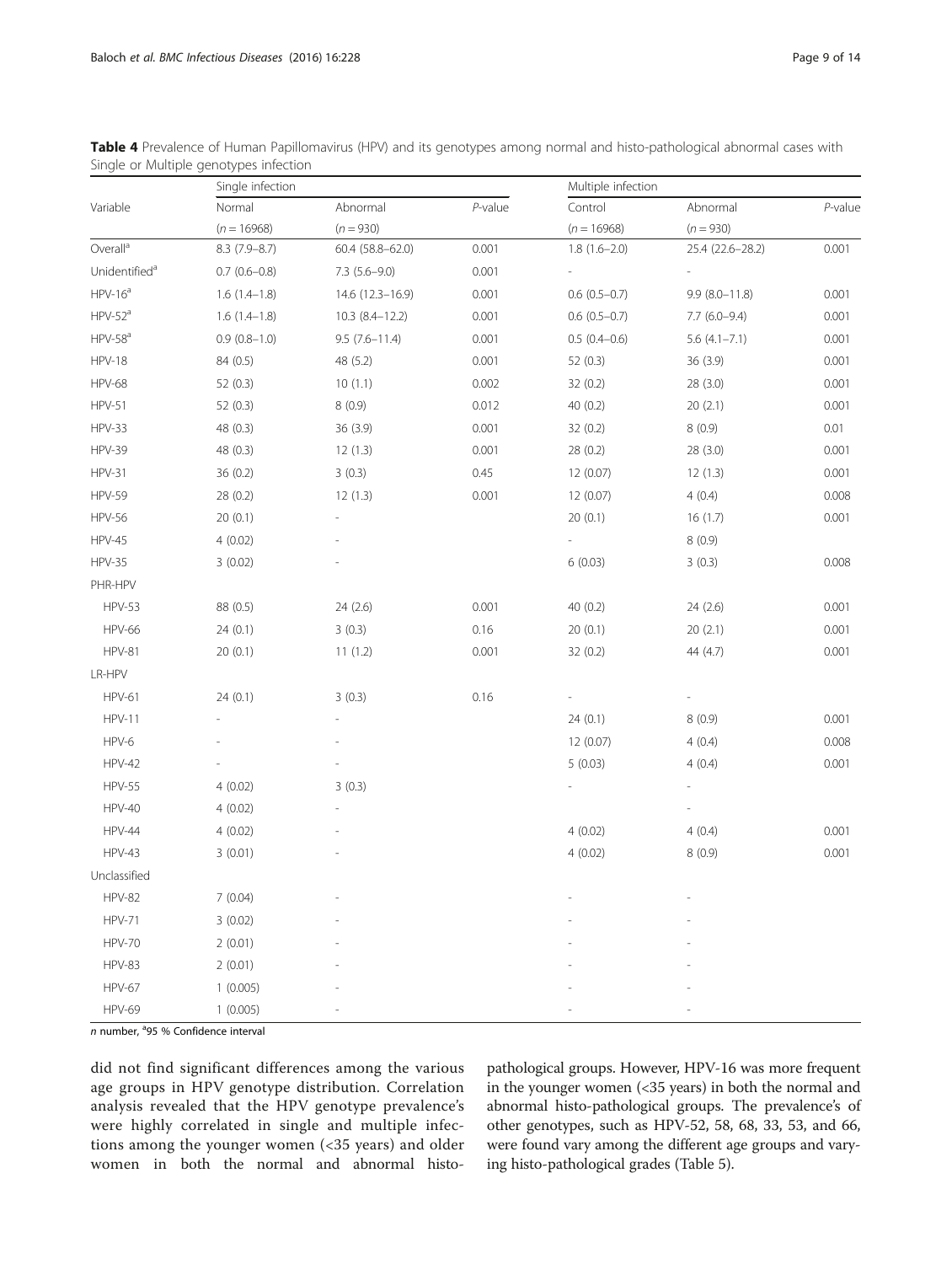|                           | Single infection  |                   |         | Multiple infection |                   |            |  |
|---------------------------|-------------------|-------------------|---------|--------------------|-------------------|------------|--|
| Variable                  | Normal            | Abnormal          | P-value | Control            | Abnormal          | $P$ -value |  |
|                           | $(n = 16968)$     | $(n = 930)$       |         | $(n = 16968)$      | $(n = 930)$       |            |  |
| Overall <sup>a</sup>      | $8.3(7.9 - 8.7)$  | 60.4 (58.8-62.0)  | 0.001   | $1.8(1.6-2.0)$     | 25.4 (22.6-28.2)  | 0.001      |  |
| Unidentified <sup>a</sup> | $0.7$ $(0.6-0.8)$ | $7.3(5.6-9.0)$    | 0.001   |                    |                   |            |  |
| $HPV-16a$                 | $1.6(1.4-1.8)$    | 14.6 (12.3-16.9)  | 0.001   | $0.6(0.5-0.7)$     | $9.9(8.0 - 11.8)$ | 0.001      |  |
| $HPV-52a$                 | $1.6(1.4-1.8)$    | $10.3(8.4-12.2)$  | 0.001   | $0.6(0.5-0.7)$     | $7.7(6.0-9.4)$    | 0.001      |  |
| $HPV-58a$                 | $0.9(0.8-1.0)$    | $9.5(7.6 - 11.4)$ | 0.001   | $0.5(0.4-0.6)$     | $5.6(4.1 - 7.1)$  | 0.001      |  |
| <b>HPV-18</b>             | 84 (0.5)          | 48 (5.2)          | 0.001   | 52 (0.3)           | 36 (3.9)          | 0.001      |  |
| <b>HPV-68</b>             | 52(0.3)           | 10(1.1)           | 0.002   | 32 (0.2)           | 28(3.0)           | 0.001      |  |
| <b>HPV-51</b>             | 52(0.3)           | 8(0.9)            | 0.012   | 40(0.2)            | 20(2.1)           | 0.001      |  |
| <b>HPV-33</b>             | 48 (0.3)          | 36(3.9)           | 0.001   | 32 (0.2)           | 8(0.9)            | 0.01       |  |
| <b>HPV-39</b>             | 48 (0.3)          | 12(1.3)           | 0.001   | 28 (0.2)           | 28 (3.0)          | 0.001      |  |
| <b>HPV-31</b>             | 36(0.2)           | 3(0.3)            | 0.45    | 12 (0.07)          | 12(1.3)           | 0.001      |  |
| <b>HPV-59</b>             | 28 (0.2)          | 12(1.3)           | 0.001   | 12 (0.07)          | 4(0.4)            | 0.008      |  |
| <b>HPV-56</b>             | 20(0.1)           |                   |         | 20 (0.1)           | 16(1.7)           | 0.001      |  |
| <b>HPV-45</b>             | 4(0.02)           |                   |         |                    | 8(0.9)            |            |  |
| <b>HPV-35</b>             | 3(0.02)           |                   |         | 6(0.03)            | 3(0.3)            | 0.008      |  |
| PHR-HPV                   |                   |                   |         |                    |                   |            |  |
| <b>HPV-53</b>             | 88 (0.5)          | 24 (2.6)          | 0.001   | 40 (0.2)           | 24 (2.6)          | 0.001      |  |
| <b>HPV-66</b>             | 24(0.1)           | 3(0.3)            | 0.16    | 20(0.1)            | 20(2.1)           | 0.001      |  |
| <b>HPV-81</b>             | 20(0.1)           | 11(1.2)           | 0.001   | 32(0.2)            | 44 (4.7)          | 0.001      |  |
| LR-HPV                    |                   |                   |         |                    |                   |            |  |
| <b>HPV-61</b>             | 24(0.1)           | 3(0.3)            | 0.16    |                    |                   |            |  |
| <b>HPV-11</b>             |                   |                   |         | 24(0.1)            | 8(0.9)            | 0.001      |  |
| HPV-6                     |                   |                   |         | 12 (0.07)          | 4(0.4)            | 0.008      |  |
| <b>HPV-42</b>             |                   |                   |         | 5(0.03)            | 4(0.4)            | 0.001      |  |
| <b>HPV-55</b>             | 4(0.02)           | 3(0.3)            |         |                    |                   |            |  |
| <b>HPV-40</b>             | 4(0.02)           |                   |         |                    |                   |            |  |
| <b>HPV-44</b>             | 4(0.02)           |                   |         | 4(0.02)            | 4(0.4)            | 0.001      |  |
| <b>HPV-43</b>             | 3(0.01)           |                   |         | 4(0.02)            | 8(0.9)            | 0.001      |  |
| Unclassified              |                   |                   |         |                    |                   |            |  |
| <b>HPV-82</b>             | 7(0.04)           |                   |         |                    |                   |            |  |
| <b>HPV-71</b>             | 3(0.02)           |                   |         |                    |                   |            |  |
| <b>HPV-70</b>             | 2(0.01)           |                   |         |                    |                   |            |  |
| <b>HPV-83</b>             | 2(0.01)           |                   |         |                    |                   |            |  |
| <b>HPV-67</b>             | 1(0.005)          |                   |         |                    |                   |            |  |
| <b>HPV-69</b>             | 1(0.005)          |                   |         |                    |                   |            |  |

<span id="page-8-0"></span>Table 4 Prevalence of Human Papillomavirus (HPV) and its genotypes among normal and histo-pathological abnormal cases with Single or Multiple genotypes infection

n number, <sup>a</sup>95 % Confidence interval

did not find significant differences among the various age groups in HPV genotype distribution. Correlation analysis revealed that the HPV genotype prevalence's were highly correlated in single and multiple infections among the younger women (<35 years) and older women in both the normal and abnormal histo-

pathological groups. However, HPV-16 was more frequent in the younger women (<35 years) in both the normal and abnormal histo-pathological groups. The prevalence's of other genotypes, such as HPV-52, 58, 68, 33, 53, and 66, were found vary among the different age groups and varying histo-pathological grades (Table [5](#page-10-0)).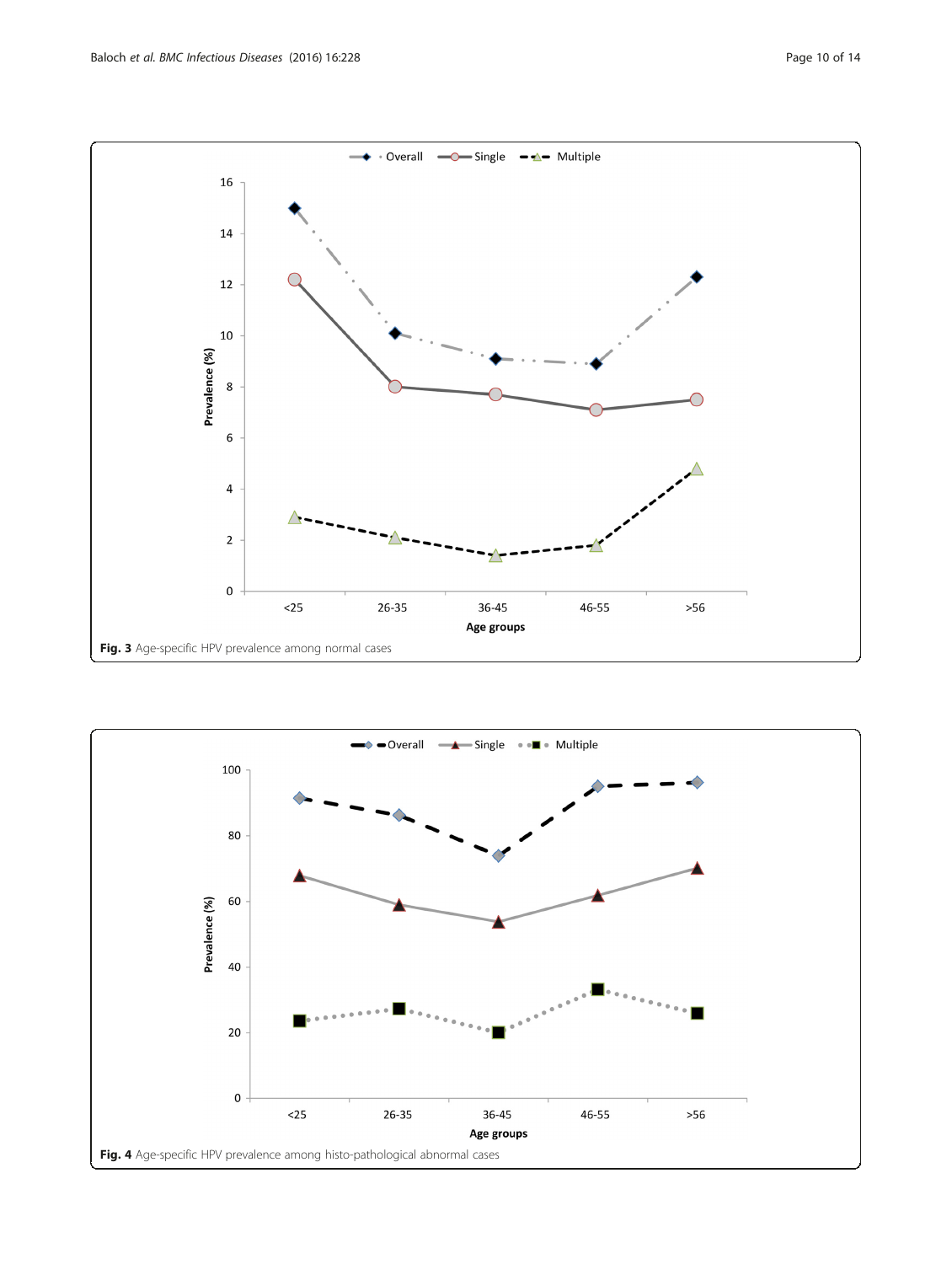<span id="page-9-0"></span>

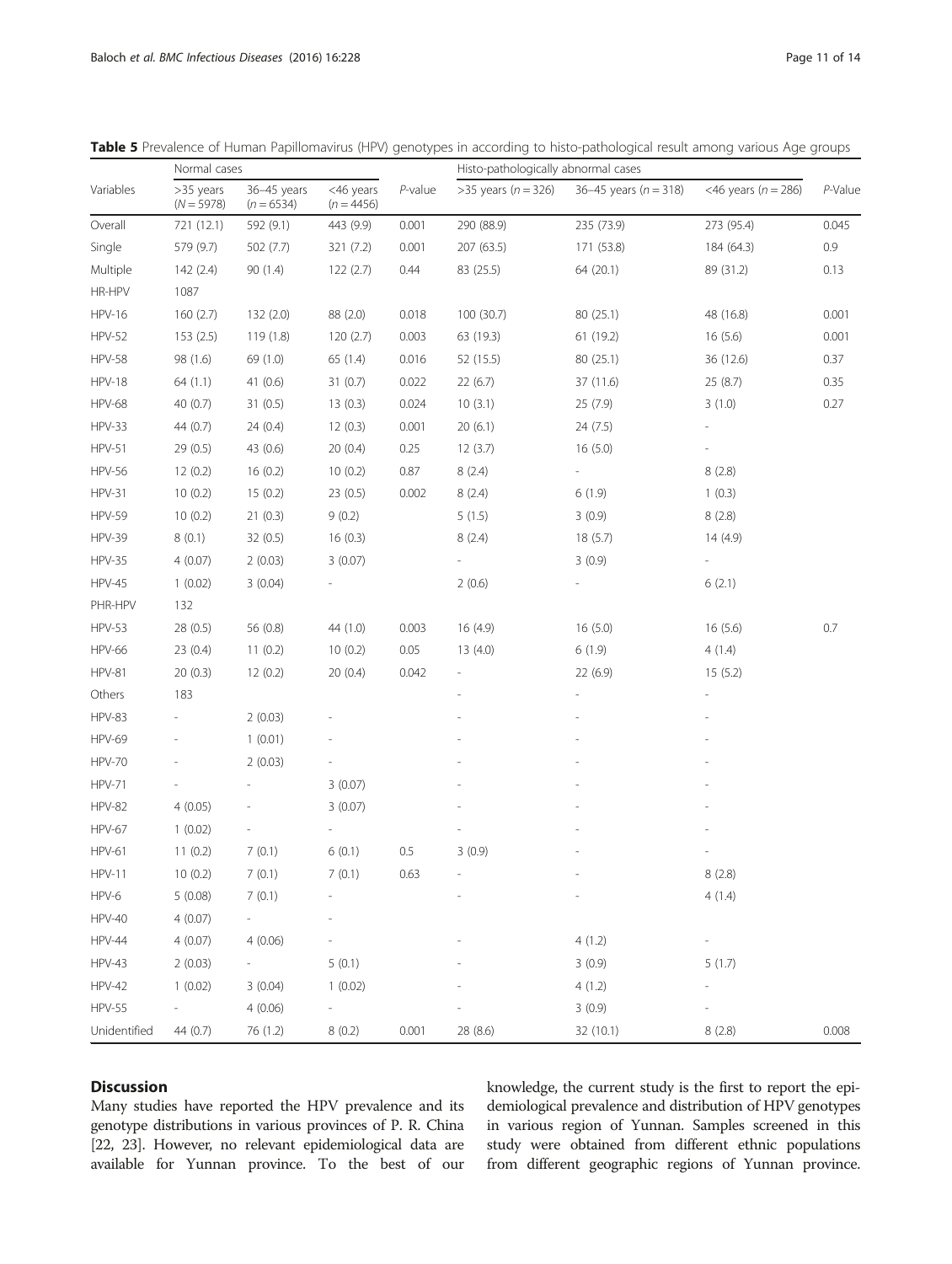|               | Normal cases              |                             |                           |            | Histo-pathologically abnormal cases |                           |                         |         |
|---------------|---------------------------|-----------------------------|---------------------------|------------|-------------------------------------|---------------------------|-------------------------|---------|
| Variables     | >35 years<br>$(N = 5978)$ | 36-45 years<br>$(n = 6534)$ | <46 years<br>$(n = 4456)$ | $P$ -value | >35 years ( $n = 326$ )             | 36-45 years ( $n = 318$ ) | <46 years ( $n = 286$ ) | P-Value |
| Overall       | 721 (12.1)                | 592 (9.1)                   | 443 (9.9)                 | 0.001      | 290 (88.9)                          | 235 (73.9)                | 273 (95.4)              | 0.045   |
| Single        | 579 (9.7)                 | 502 (7.7)                   | 321 (7.2)                 | 0.001      | 207 (63.5)                          | 171 (53.8)                | 184 (64.3)              | 0.9     |
| Multiple      | 142(2.4)                  | 90 (1.4)                    | 122(2.7)                  | 0.44       | 83 (25.5)                           | 64 (20.1)                 | 89 (31.2)               | 0.13    |
| HR-HPV        | 1087                      |                             |                           |            |                                     |                           |                         |         |
| <b>HPV-16</b> | 160(2.7)                  | 132 (2.0)                   | 88 (2.0)                  | 0.018      | 100 (30.7)                          | 80 (25.1)                 | 48 (16.8)               | 0.001   |
| <b>HPV-52</b> | 153(2.5)                  | 119 (1.8)                   | 120(2.7)                  | 0.003      | 63 (19.3)                           | 61 (19.2)                 | 16(5.6)                 | 0.001   |
| <b>HPV-58</b> | 98 (1.6)                  | 69 (1.0)                    | 65 (1.4)                  | 0.016      | 52 (15.5)                           | 80 (25.1)                 | 36 (12.6)               | 0.37    |
| <b>HPV-18</b> | 64(1.1)                   | 41 $(0.6)$                  | 31(0.7)                   | 0.022      | 22(6.7)                             | 37 (11.6)                 | 25 (8.7)                | 0.35    |
| <b>HPV-68</b> | 40(0.7)                   | 31(0.5)                     | 13(0.3)                   | 0.024      | 10(3.1)                             | 25(7.9)                   | 3(1.0)                  | 0.27    |
| HPV-33        | 44 (0.7)                  | 24(0.4)                     | 12(0.3)                   | 0.001      | 20(6.1)                             | 24 (7.5)                  |                         |         |
| <b>HPV-51</b> | 29 (0.5)                  | 43 (0.6)                    | 20(0.4)                   | 0.25       | 12(3.7)                             | 16(5.0)                   |                         |         |
| <b>HPV-56</b> | 12(0.2)                   | 16(0.2)                     | 10(0.2)                   | 0.87       | 8(2.4)                              |                           | 8(2.8)                  |         |
| <b>HPV-31</b> | 10(0.2)                   | 15(0.2)                     | 23(0.5)                   | 0.002      | 8(2.4)                              | 6(1.9)                    | 1(0.3)                  |         |
| <b>HPV-59</b> | 10(0.2)                   | 21(0.3)                     | 9(0.2)                    |            | 5(1.5)                              | 3(0.9)                    | 8(2.8)                  |         |
| <b>HPV-39</b> | 8(0.1)                    | 32(0.5)                     | 16(0.3)                   |            | 8(2.4)                              | 18(5.7)                   | 14 (4.9)                |         |
| <b>HPV-35</b> | 4(0.07)                   | 2(0.03)                     | 3(0.07)                   |            |                                     | 3(0.9)                    |                         |         |
| <b>HPV-45</b> | 1(0.02)                   | 3(0.04)                     |                           |            | 2(0.6)                              |                           | 6(2.1)                  |         |
| PHR-HPV       | 132                       |                             |                           |            |                                     |                           |                         |         |
| <b>HPV-53</b> | 28 (0.5)                  | 56 (0.8)                    | 44 (1.0)                  | 0.003      | 16(4.9)                             | 16(5.0)                   | 16(5.6)                 | 0.7     |
| <b>HPV-66</b> | 23 (0.4)                  | 11(0.2)                     | 10(0.2)                   | 0.05       | 13(4.0)                             | 6(1.9)                    | 4(1.4)                  |         |
| <b>HPV-81</b> | 20(0.3)                   | 12(0.2)                     | 20(0.4)                   | 0.042      |                                     | 22(6.9)                   | 15(5.2)                 |         |
| Others        | 183                       |                             |                           |            |                                     |                           |                         |         |
| <b>HPV-83</b> |                           | 2(0.03)                     |                           |            |                                     |                           |                         |         |
| <b>HPV-69</b> |                           | 1(0.01)                     |                           |            |                                     |                           |                         |         |
| <b>HPV-70</b> |                           | 2(0.03)                     |                           |            |                                     |                           |                         |         |
| <b>HPV-71</b> |                           |                             | 3(0.07)                   |            |                                     |                           |                         |         |
| <b>HPV-82</b> | 4(0.05)                   |                             | 3(0.07)                   |            |                                     |                           |                         |         |
| <b>HPV-67</b> | 1(0.02)                   |                             |                           |            |                                     |                           |                         |         |
| <b>HPV-61</b> | 11(0.2)                   | 7(0.1)                      | 6(0.1)                    | 0.5        | 3(0.9)                              |                           |                         |         |
| $HPV-11$      | 10(0.2)                   | 7(0.1)                      | 7(0.1)                    | 0.63       |                                     |                           | 8(2.8)                  |         |
| HPV-6         | 5(0.08)                   | 7(0.1)                      |                           |            |                                     |                           | 4(1.4)                  |         |
| <b>HPV-40</b> | 4(0.07)                   |                             |                           |            |                                     |                           |                         |         |
| <b>HPV-44</b> | 4(0.07)                   | 4(0.06)                     |                           |            |                                     | 4(1.2)                    |                         |         |
| <b>HPV-43</b> | 2(0.03)                   |                             | 5(0.1)                    |            |                                     | 3(0.9)                    | 5(1.7)                  |         |
| <b>HPV-42</b> | 1(0.02)                   | 3(0.04)                     | 1(0.02)                   |            |                                     | 4(1.2)                    | $\frac{1}{2}$           |         |
| <b>HPV-55</b> |                           | 4(0.06)                     |                           |            |                                     | 3(0.9)                    |                         |         |
| Unidentified  | 44 (0.7)                  | 76 (1.2)                    | 8(0.2)                    | 0.001      | 28 (8.6)                            | 32 (10.1)                 | 8(2.8)                  | 0.008   |

<span id="page-10-0"></span>Table 5 Prevalence of Human Papillomavirus (HPV) genotypes in according to histo-pathological result among various Age groups

## **Discussion**

Many studies have reported the HPV prevalence and its genotype distributions in various provinces of P. R. China [[22](#page-13-0), [23\]](#page-13-0). However, no relevant epidemiological data are available for Yunnan province. To the best of our knowledge, the current study is the first to report the epidemiological prevalence and distribution of HPV genotypes in various region of Yunnan. Samples screened in this study were obtained from different ethnic populations from different geographic regions of Yunnan province.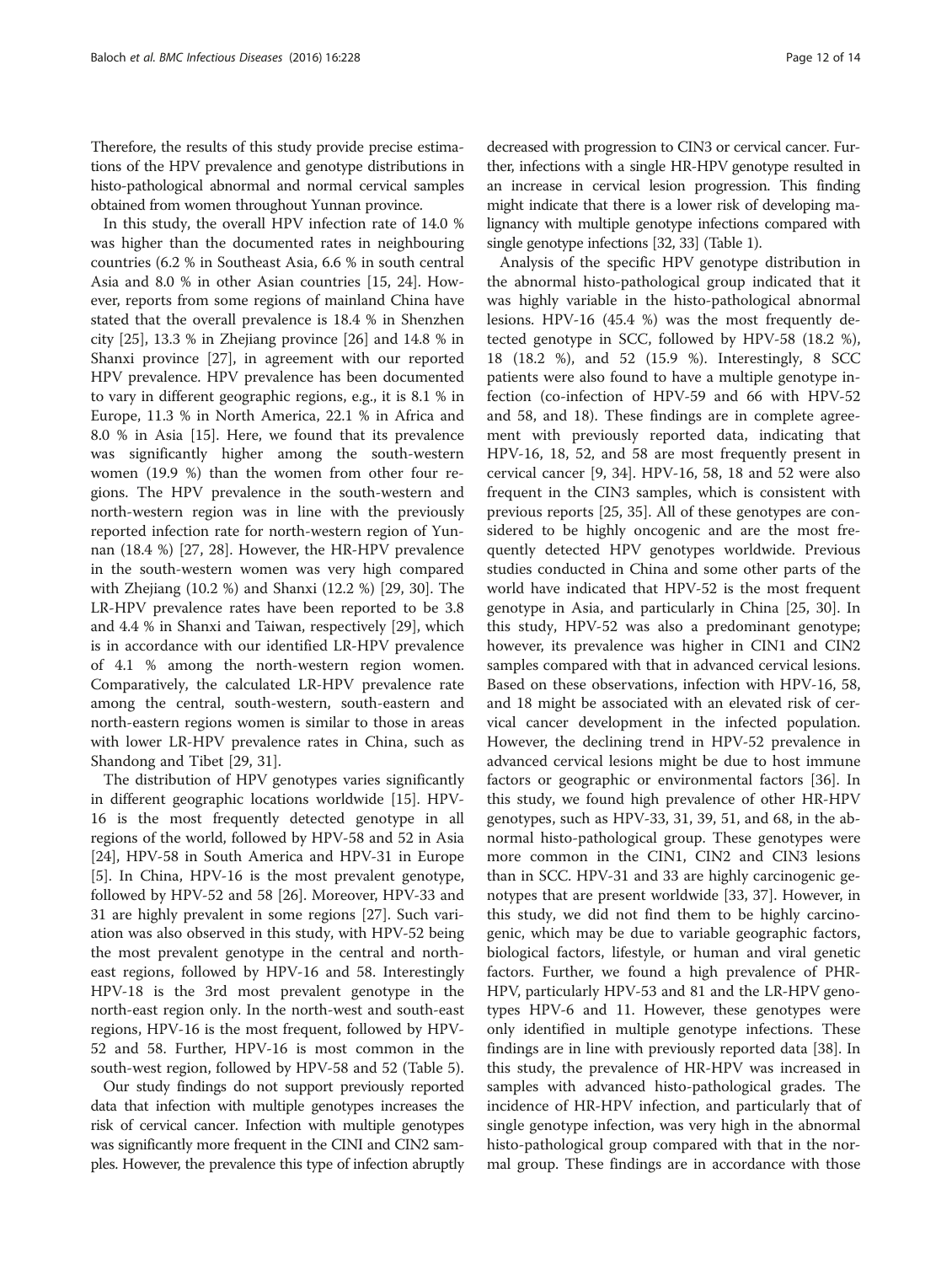Therefore, the results of this study provide precise estimations of the HPV prevalence and genotype distributions in histo-pathological abnormal and normal cervical samples obtained from women throughout Yunnan province.

In this study, the overall HPV infection rate of 14.0 % was higher than the documented rates in neighbouring countries (6.2 % in Southeast Asia, 6.6 % in south central Asia and 8.0 % in other Asian countries [[15, 24](#page-13-0)]. However, reports from some regions of mainland China have stated that the overall prevalence is 18.4 % in Shenzhen city [[25](#page-13-0)], 13.3 % in Zhejiang province [[26\]](#page-13-0) and 14.8 % in Shanxi province [[27\]](#page-13-0), in agreement with our reported HPV prevalence. HPV prevalence has been documented to vary in different geographic regions, e.g., it is 8.1 % in Europe, 11.3 % in North America, 22.1 % in Africa and 8.0 % in Asia [\[15](#page-13-0)]. Here, we found that its prevalence was significantly higher among the south-western women (19.9 %) than the women from other four regions. The HPV prevalence in the south-western and north-western region was in line with the previously reported infection rate for north-western region of Yunnan (18.4 %) [\[27](#page-13-0), [28](#page-13-0)]. However, the HR-HPV prevalence in the south-western women was very high compared with Zhejiang (10.2 %) and Shanxi (12.2 %) [[29, 30\]](#page-13-0). The LR-HPV prevalence rates have been reported to be 3.8 and 4.4 % in Shanxi and Taiwan, respectively [[29\]](#page-13-0), which is in accordance with our identified LR-HPV prevalence of 4.1 % among the north-western region women. Comparatively, the calculated LR-HPV prevalence rate among the central, south-western, south-eastern and north-eastern regions women is similar to those in areas with lower LR-HPV prevalence rates in China, such as Shandong and Tibet [\[29, 31\]](#page-13-0).

The distribution of HPV genotypes varies significantly in different geographic locations worldwide [[15\]](#page-13-0). HPV-16 is the most frequently detected genotype in all regions of the world, followed by HPV-58 and 52 in Asia [[24\]](#page-13-0), HPV-58 in South America and HPV-31 in Europe [[5\]](#page-13-0). In China, HPV-16 is the most prevalent genotype, followed by HPV-52 and 58 [[26\]](#page-13-0). Moreover, HPV-33 and 31 are highly prevalent in some regions [\[27](#page-13-0)]. Such variation was also observed in this study, with HPV-52 being the most prevalent genotype in the central and northeast regions, followed by HPV-16 and 58. Interestingly HPV-18 is the 3rd most prevalent genotype in the north-east region only. In the north-west and south-east regions, HPV-16 is the most frequent, followed by HPV-52 and 58. Further, HPV-16 is most common in the south-west region, followed by HPV-58 and 52 (Table [5](#page-10-0)).

Our study findings do not support previously reported data that infection with multiple genotypes increases the risk of cervical cancer. Infection with multiple genotypes was significantly more frequent in the CINI and CIN2 samples. However, the prevalence this type of infection abruptly

decreased with progression to CIN3 or cervical cancer. Further, infections with a single HR-HPV genotype resulted in an increase in cervical lesion progression. This finding might indicate that there is a lower risk of developing malignancy with multiple genotype infections compared with single genotype infections [\[32, 33\]](#page-13-0) (Table [1\)](#page-3-0).

Analysis of the specific HPV genotype distribution in the abnormal histo-pathological group indicated that it was highly variable in the histo-pathological abnormal lesions. HPV-16 (45.4 %) was the most frequently detected genotype in SCC, followed by HPV-58 (18.2 %), 18 (18.2 %), and 52 (15.9 %). Interestingly, 8 SCC patients were also found to have a multiple genotype infection (co-infection of HPV-59 and 66 with HPV-52 and 58, and 18). These findings are in complete agreement with previously reported data, indicating that HPV-16, 18, 52, and 58 are most frequently present in cervical cancer [\[9](#page-13-0), [34\]](#page-13-0). HPV-16, 58, 18 and 52 were also frequent in the CIN3 samples, which is consistent with previous reports [[25](#page-13-0), [35](#page-13-0)]. All of these genotypes are considered to be highly oncogenic and are the most frequently detected HPV genotypes worldwide. Previous studies conducted in China and some other parts of the world have indicated that HPV-52 is the most frequent genotype in Asia, and particularly in China [[25, 30\]](#page-13-0). In this study, HPV-52 was also a predominant genotype; however, its prevalence was higher in CIN1 and CIN2 samples compared with that in advanced cervical lesions. Based on these observations, infection with HPV-16, 58, and 18 might be associated with an elevated risk of cervical cancer development in the infected population. However, the declining trend in HPV-52 prevalence in advanced cervical lesions might be due to host immune factors or geographic or environmental factors [\[36](#page-13-0)]. In this study, we found high prevalence of other HR-HPV genotypes, such as HPV-33, 31, 39, 51, and 68, in the abnormal histo-pathological group. These genotypes were more common in the CIN1, CIN2 and CIN3 lesions than in SCC. HPV-31 and 33 are highly carcinogenic genotypes that are present worldwide [\[33, 37\]](#page-13-0). However, in this study, we did not find them to be highly carcinogenic, which may be due to variable geographic factors, biological factors, lifestyle, or human and viral genetic factors. Further, we found a high prevalence of PHR-HPV, particularly HPV-53 and 81 and the LR-HPV genotypes HPV-6 and 11. However, these genotypes were only identified in multiple genotype infections. These findings are in line with previously reported data [[38\]](#page-13-0). In this study, the prevalence of HR-HPV was increased in samples with advanced histo-pathological grades. The incidence of HR-HPV infection, and particularly that of single genotype infection, was very high in the abnormal histo-pathological group compared with that in the normal group. These findings are in accordance with those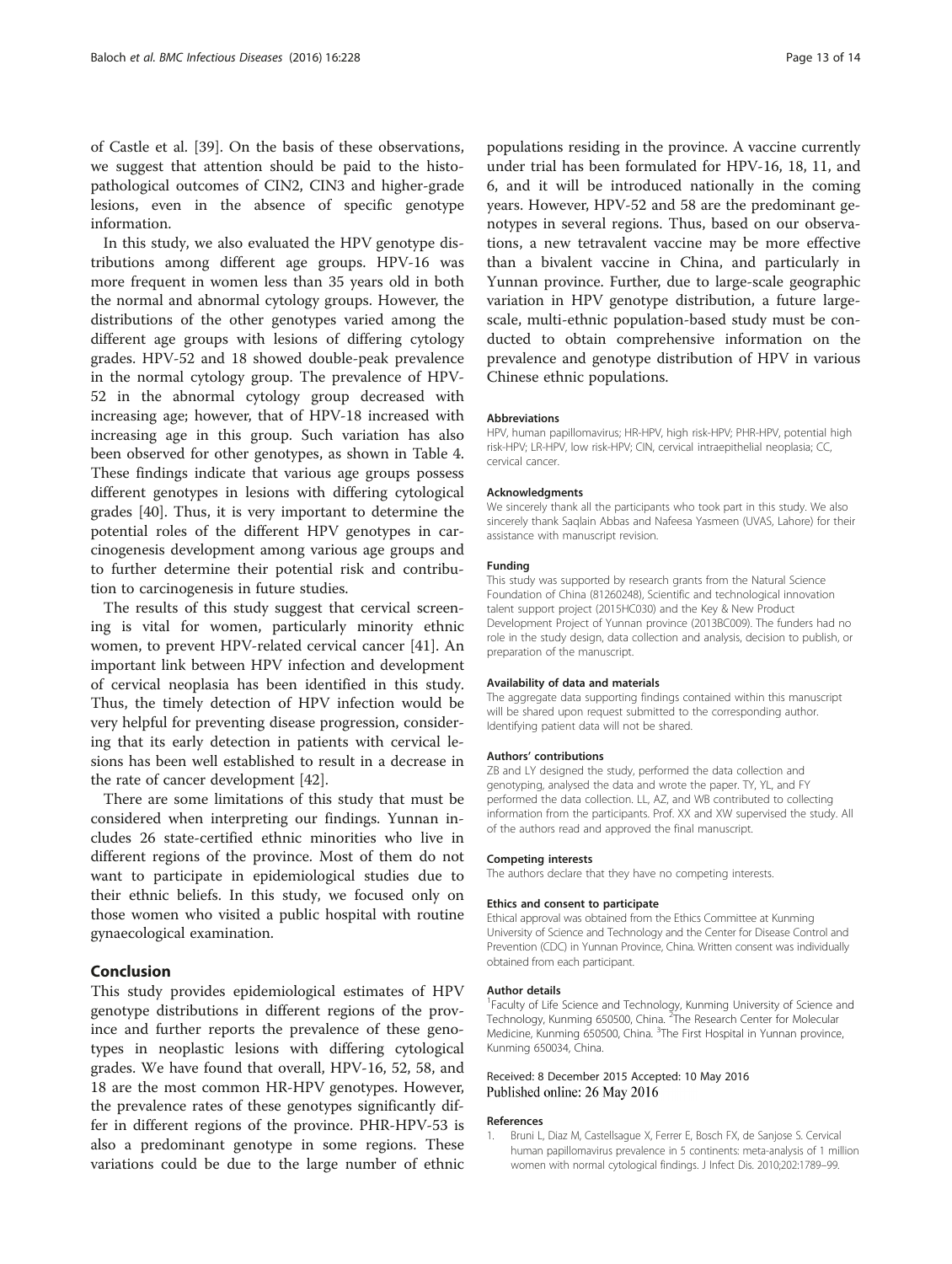<span id="page-12-0"></span>of Castle et al. [[39](#page-13-0)]. On the basis of these observations, we suggest that attention should be paid to the histopathological outcomes of CIN2, CIN3 and higher-grade lesions, even in the absence of specific genotype information.

In this study, we also evaluated the HPV genotype distributions among different age groups. HPV-16 was more frequent in women less than 35 years old in both the normal and abnormal cytology groups. However, the distributions of the other genotypes varied among the different age groups with lesions of differing cytology grades. HPV-52 and 18 showed double-peak prevalence in the normal cytology group. The prevalence of HPV-52 in the abnormal cytology group decreased with increasing age; however, that of HPV-18 increased with increasing age in this group. Such variation has also been observed for other genotypes, as shown in Table [4](#page-8-0). These findings indicate that various age groups possess different genotypes in lesions with differing cytological grades [[40\]](#page-13-0). Thus, it is very important to determine the potential roles of the different HPV genotypes in carcinogenesis development among various age groups and to further determine their potential risk and contribution to carcinogenesis in future studies.

The results of this study suggest that cervical screening is vital for women, particularly minority ethnic women, to prevent HPV-related cervical cancer [[41\]](#page-13-0). An important link between HPV infection and development of cervical neoplasia has been identified in this study. Thus, the timely detection of HPV infection would be very helpful for preventing disease progression, considering that its early detection in patients with cervical lesions has been well established to result in a decrease in the rate of cancer development [\[42](#page-13-0)].

There are some limitations of this study that must be considered when interpreting our findings. Yunnan includes 26 state-certified ethnic minorities who live in different regions of the province. Most of them do not want to participate in epidemiological studies due to their ethnic beliefs. In this study, we focused only on those women who visited a public hospital with routine gynaecological examination.

## Conclusion

This study provides epidemiological estimates of HPV genotype distributions in different regions of the province and further reports the prevalence of these genotypes in neoplastic lesions with differing cytological grades. We have found that overall, HPV-16, 52, 58, and 18 are the most common HR-HPV genotypes. However, the prevalence rates of these genotypes significantly differ in different regions of the province. PHR-HPV-53 is also a predominant genotype in some regions. These variations could be due to the large number of ethnic populations residing in the province. A vaccine currently under trial has been formulated for HPV-16, 18, 11, and 6, and it will be introduced nationally in the coming years. However, HPV-52 and 58 are the predominant genotypes in several regions. Thus, based on our observations, a new tetravalent vaccine may be more effective than a bivalent vaccine in China, and particularly in Yunnan province. Further, due to large-scale geographic variation in HPV genotype distribution, a future largescale, multi-ethnic population-based study must be conducted to obtain comprehensive information on the prevalence and genotype distribution of HPV in various Chinese ethnic populations.

#### Abbreviations

HPV, human papillomavirus; HR-HPV, high risk-HPV; PHR-HPV, potential high risk-HPV; LR-HPV, low risk-HPV; CIN, cervical intraepithelial neoplasia; CC, cervical cancer.

#### Acknowledgments

We sincerely thank all the participants who took part in this study. We also sincerely thank Saqlain Abbas and Nafeesa Yasmeen (UVAS, Lahore) for their assistance with manuscript revision.

#### Funding

This study was supported by research grants from the Natural Science Foundation of China (81260248), Scientific and technological innovation talent support project (2015HC030) and the Key & New Product Development Project of Yunnan province (2013BC009). The funders had no role in the study design, data collection and analysis, decision to publish, or preparation of the manuscript.

#### Availability of data and materials

The aggregate data supporting findings contained within this manuscript will be shared upon request submitted to the corresponding author. Identifying patient data will not be shared.

#### Authors' contributions

ZB and LY designed the study, performed the data collection and genotyping, analysed the data and wrote the paper. TY, YL, and FY performed the data collection. LL, AZ, and WB contributed to collecting information from the participants. Prof. XX and XW supervised the study. All of the authors read and approved the final manuscript.

#### Competing interests

The authors declare that they have no competing interests.

#### Ethics and consent to participate

Ethical approval was obtained from the Ethics Committee at Kunming University of Science and Technology and the Center for Disease Control and Prevention (CDC) in Yunnan Province, China. Written consent was individually obtained from each participant.

#### Author details

<sup>1</sup> Faculty of Life Science and Technology, Kunming University of Science and Technology, Kunming 650500, China. <sup>2</sup>The Research Center for Molecular Medicine, Kunming 650500, China. <sup>3</sup>The First Hospital in Yunnan province, Kunming 650034, China.

#### Received: 8 December 2015 Accepted: 10 May 2016 Published online: 26 May 2016

#### References

Bruni L, Diaz M, Castellsague X, Ferrer E, Bosch FX, de Sanjose S. Cervical human papillomavirus prevalence in 5 continents: meta-analysis of 1 million women with normal cytological findings. J Infect Dis. 2010;202:1789–99.